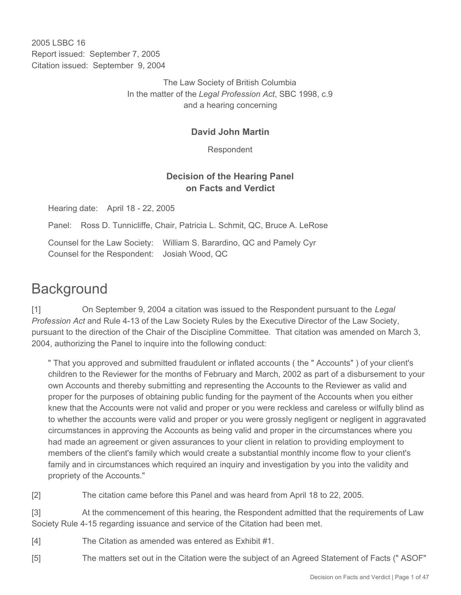2005 LSBC 16 Report issued: September 7, 2005 Citation issued: September 9, 2004

> The Law Society of British Columbia In the matter of the *Legal Profession Act*, SBC 1998, c.9 and a hearing concerning

## **David John Martin**

Respondent

## **Decision of the Hearing Panel on Facts and Verdict**

Hearing date: April 18 - 22, 2005

Panel: Ross D. Tunnicliffe, Chair, Patricia L. Schmit, QC, Bruce A. LeRose

Counsel for the Law Society: William S. Barardino, QC and Pamely Cyr Counsel for the Respondent: Josiah Wood, QC

## **Background**

[1] On September 9, 2004 a citation was issued to the Respondent pursuant to the *Legal Profession Act* and Rule 4-13 of the Law Society Rules by the Executive Director of the Law Society, pursuant to the direction of the Chair of the Discipline Committee. That citation was amended on March 3, 2004, authorizing the Panel to inquire into the following conduct:

" That you approved and submitted fraudulent or inflated accounts ( the " Accounts" ) of your client's children to the Reviewer for the months of February and March, 2002 as part of a disbursement to your own Accounts and thereby submitting and representing the Accounts to the Reviewer as valid and proper for the purposes of obtaining public funding for the payment of the Accounts when you either knew that the Accounts were not valid and proper or you were reckless and careless or wilfully blind as to whether the accounts were valid and proper or you were grossly negligent or negligent in aggravated circumstances in approving the Accounts as being valid and proper in the circumstances where you had made an agreement or given assurances to your client in relation to providing employment to members of the client's family which would create a substantial monthly income flow to your client's family and in circumstances which required an inquiry and investigation by you into the validity and propriety of the Accounts."

[2] The citation came before this Panel and was heard from April 18 to 22, 2005.

[3] At the commencement of this hearing, the Respondent admitted that the requirements of Law Society Rule 4-15 regarding issuance and service of the Citation had been met.

- [4] The Citation as amended was entered as Exhibit #1.
- [5] The matters set out in the Citation were the subject of an Agreed Statement of Facts (" ASOF"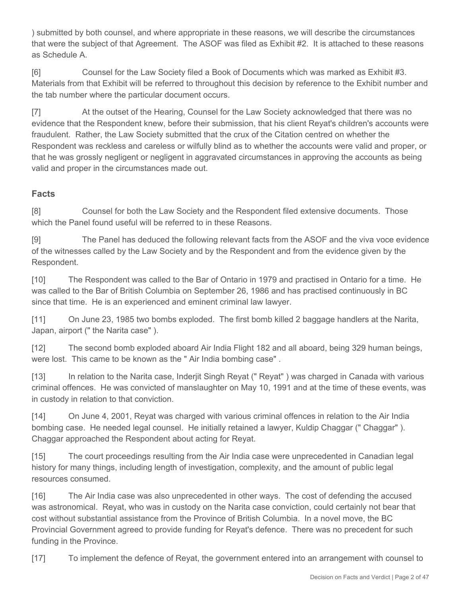) submitted by both counsel, and where appropriate in these reasons, we will describe the circumstances that were the subject of that Agreement. The ASOF was filed as Exhibit #2. It is attached to these reasons as Schedule A.

[6] Counsel for the Law Society filed a Book of Documents which was marked as Exhibit #3. Materials from that Exhibit will be referred to throughout this decision by reference to the Exhibit number and the tab number where the particular document occurs.

[7] At the outset of the Hearing, Counsel for the Law Society acknowledged that there was no evidence that the Respondent knew, before their submission, that his client Reyat's children's accounts were fraudulent. Rather, the Law Society submitted that the crux of the Citation centred on whether the Respondent was reckless and careless or wilfully blind as to whether the accounts were valid and proper, or that he was grossly negligent or negligent in aggravated circumstances in approving the accounts as being valid and proper in the circumstances made out.

## **Facts**

[8] Counsel for both the Law Society and the Respondent filed extensive documents. Those which the Panel found useful will be referred to in these Reasons.

[9] The Panel has deduced the following relevant facts from the ASOF and the viva voce evidence of the witnesses called by the Law Society and by the Respondent and from the evidence given by the Respondent.

[10] The Respondent was called to the Bar of Ontario in 1979 and practised in Ontario for a time. He was called to the Bar of British Columbia on September 26, 1986 and has practised continuously in BC since that time. He is an experienced and eminent criminal law lawyer.

[11] On June 23, 1985 two bombs exploded. The first bomb killed 2 baggage handlers at the Narita, Japan, airport (" the Narita case" ).

[12] The second bomb exploded aboard Air India Flight 182 and all aboard, being 329 human beings, were lost. This came to be known as the " Air India bombing case" .

[13] In relation to the Narita case, Inderjit Singh Reyat (" Reyat" ) was charged in Canada with various criminal offences. He was convicted of manslaughter on May 10, 1991 and at the time of these events, was in custody in relation to that conviction.

[14] On June 4, 2001, Reyat was charged with various criminal offences in relation to the Air India bombing case. He needed legal counsel. He initially retained a lawyer, Kuldip Chaggar (" Chaggar" ). Chaggar approached the Respondent about acting for Reyat.

[15] The court proceedings resulting from the Air India case were unprecedented in Canadian legal history for many things, including length of investigation, complexity, and the amount of public legal resources consumed.

[16] The Air India case was also unprecedented in other ways. The cost of defending the accused was astronomical. Reyat, who was in custody on the Narita case conviction, could certainly not bear that cost without substantial assistance from the Province of British Columbia. In a novel move, the BC Provincial Government agreed to provide funding for Reyat's defence. There was no precedent for such funding in the Province.

[17] To implement the defence of Reyat, the government entered into an arrangement with counsel to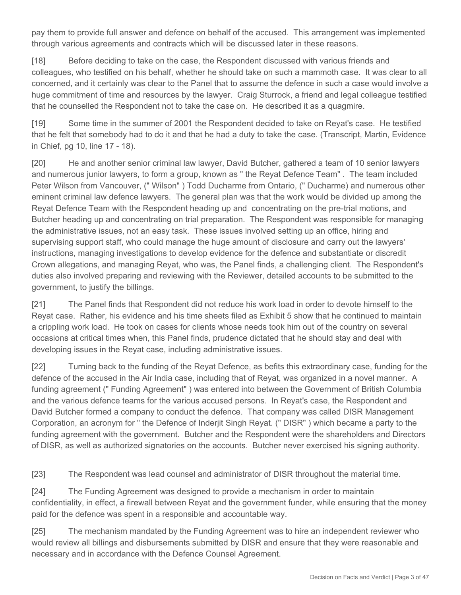pay them to provide full answer and defence on behalf of the accused. This arrangement was implemented through various agreements and contracts which will be discussed later in these reasons.

[18] Before deciding to take on the case, the Respondent discussed with various friends and colleagues, who testified on his behalf, whether he should take on such a mammoth case. It was clear to all concerned, and it certainly was clear to the Panel that to assume the defence in such a case would involve a huge commitment of time and resources by the lawyer. Craig Sturrock, a friend and legal colleague testified that he counselled the Respondent not to take the case on. He described it as a quagmire.

[19] Some time in the summer of 2001 the Respondent decided to take on Reyat's case. He testified that he felt that somebody had to do it and that he had a duty to take the case. (Transcript, Martin, Evidence in Chief, pg 10, line 17 - 18).

[20] He and another senior criminal law lawyer, David Butcher, gathered a team of 10 senior lawyers and numerous junior lawyers, to form a group, known as " the Reyat Defence Team" . The team included Peter Wilson from Vancouver, (" Wilson" ) Todd Ducharme from Ontario, (" Ducharme) and numerous other eminent criminal law defence lawyers. The general plan was that the work would be divided up among the Reyat Defence Team with the Respondent heading up and concentrating on the pre-trial motions, and Butcher heading up and concentrating on trial preparation. The Respondent was responsible for managing the administrative issues, not an easy task. These issues involved setting up an office, hiring and supervising support staff, who could manage the huge amount of disclosure and carry out the lawyers' instructions, managing investigations to develop evidence for the defence and substantiate or discredit Crown allegations, and managing Reyat, who was, the Panel finds, a challenging client. The Respondent's duties also involved preparing and reviewing with the Reviewer, detailed accounts to be submitted to the government, to justify the billings.

[21] The Panel finds that Respondent did not reduce his work load in order to devote himself to the Reyat case. Rather, his evidence and his time sheets filed as Exhibit 5 show that he continued to maintain a crippling work load. He took on cases for clients whose needs took him out of the country on several occasions at critical times when, this Panel finds, prudence dictated that he should stay and deal with developing issues in the Reyat case, including administrative issues.

[22] Turning back to the funding of the Reyat Defence, as befits this extraordinary case, funding for the defence of the accused in the Air India case, including that of Reyat, was organized in a novel manner. A funding agreement (" Funding Agreement" ) was entered into between the Government of British Columbia and the various defence teams for the various accused persons. In Reyat's case, the Respondent and David Butcher formed a company to conduct the defence. That company was called DISR Management Corporation, an acronym for " the Defence of Inderjit Singh Reyat. (" DISR" ) which became a party to the funding agreement with the government. Butcher and the Respondent were the shareholders and Directors of DISR, as well as authorized signatories on the accounts. Butcher never exercised his signing authority.

[23] The Respondent was lead counsel and administrator of DISR throughout the material time.

[24] The Funding Agreement was designed to provide a mechanism in order to maintain confidentiality, in effect, a firewall between Reyat and the government funder, while ensuring that the money paid for the defence was spent in a responsible and accountable way.

[25] The mechanism mandated by the Funding Agreement was to hire an independent reviewer who would review all billings and disbursements submitted by DISR and ensure that they were reasonable and necessary and in accordance with the Defence Counsel Agreement.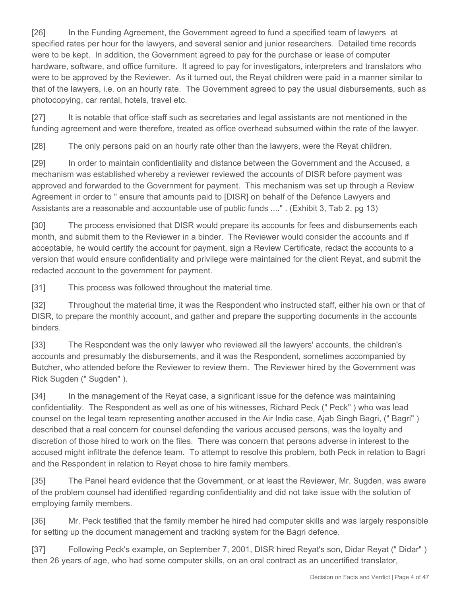[26] In the Funding Agreement, the Government agreed to fund a specified team of lawyers at specified rates per hour for the lawyers, and several senior and junior researchers. Detailed time records were to be kept. In addition, the Government agreed to pay for the purchase or lease of computer hardware, software, and office furniture. It agreed to pay for investigators, interpreters and translators who were to be approved by the Reviewer. As it turned out, the Reyat children were paid in a manner similar to that of the lawyers, i.e. on an hourly rate. The Government agreed to pay the usual disbursements, such as photocopying, car rental, hotels, travel etc.

[27] It is notable that office staff such as secretaries and legal assistants are not mentioned in the funding agreement and were therefore, treated as office overhead subsumed within the rate of the lawyer.

[28] The only persons paid on an hourly rate other than the lawyers, were the Reyat children.

[29] In order to maintain confidentiality and distance between the Government and the Accused, a mechanism was established whereby a reviewer reviewed the accounts of DISR before payment was approved and forwarded to the Government for payment. This mechanism was set up through a Review Agreement in order to " ensure that amounts paid to [DISR] on behalf of the Defence Lawyers and Assistants are a reasonable and accountable use of public funds ...." . (Exhibit 3, Tab 2, pg 13)

[30] The process envisioned that DISR would prepare its accounts for fees and disbursements each month, and submit them to the Reviewer in a binder. The Reviewer would consider the accounts and if acceptable, he would certify the account for payment, sign a Review Certificate, redact the accounts to a version that would ensure confidentiality and privilege were maintained for the client Reyat, and submit the redacted account to the government for payment.

[31] This process was followed throughout the material time.

[32] Throughout the material time, it was the Respondent who instructed staff, either his own or that of DISR, to prepare the monthly account, and gather and prepare the supporting documents in the accounts binders.

[33] The Respondent was the only lawyer who reviewed all the lawyers' accounts, the children's accounts and presumably the disbursements, and it was the Respondent, sometimes accompanied by Butcher, who attended before the Reviewer to review them. The Reviewer hired by the Government was Rick Sugden (" Sugden" ).

[34] In the management of the Reyat case, a significant issue for the defence was maintaining confidentiality. The Respondent as well as one of his witnesses, Richard Peck (" Peck" ) who was lead counsel on the legal team representing another accused in the Air India case, Ajab Singh Bagri, (" Bagri" ) described that a real concern for counsel defending the various accused persons, was the loyalty and discretion of those hired to work on the files. There was concern that persons adverse in interest to the accused might infiltrate the defence team. To attempt to resolve this problem, both Peck in relation to Bagri and the Respondent in relation to Reyat chose to hire family members.

[35] The Panel heard evidence that the Government, or at least the Reviewer, Mr. Sugden, was aware of the problem counsel had identified regarding confidentiality and did not take issue with the solution of employing family members.

[36] Mr. Peck testified that the family member he hired had computer skills and was largely responsible for setting up the document management and tracking system for the Bagri defence.

[37] Following Peck's example, on September 7, 2001, DISR hired Reyat's son, Didar Reyat (" Didar" ) then 26 years of age, who had some computer skills, on an oral contract as an uncertified translator,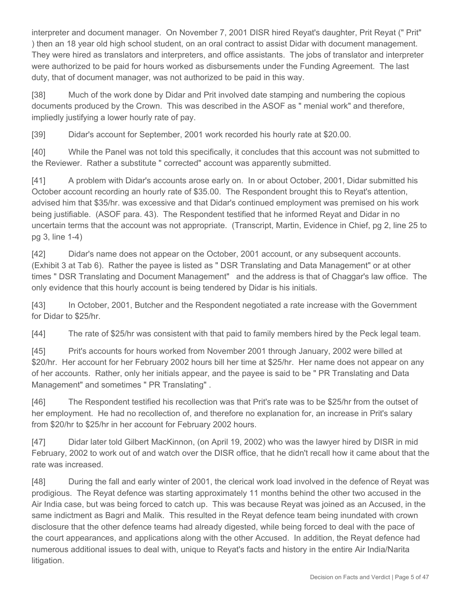interpreter and document manager. On November 7, 2001 DISR hired Reyat's daughter, Prit Reyat (" Prit" ) then an 18 year old high school student, on an oral contract to assist Didar with document management. They were hired as translators and interpreters, and office assistants. The jobs of translator and interpreter were authorized to be paid for hours worked as disbursements under the Funding Agreement. The last duty, that of document manager, was not authorized to be paid in this way.

[38] Much of the work done by Didar and Prit involved date stamping and numbering the copious documents produced by the Crown. This was described in the ASOF as " menial work" and therefore, impliedly justifying a lower hourly rate of pay.

[39] Didar's account for September, 2001 work recorded his hourly rate at \$20.00.

[40] While the Panel was not told this specifically, it concludes that this account was not submitted to the Reviewer. Rather a substitute " corrected" account was apparently submitted.

[41] A problem with Didar's accounts arose early on. In or about October, 2001, Didar submitted his October account recording an hourly rate of \$35.00. The Respondent brought this to Reyat's attention, advised him that \$35/hr. was excessive and that Didar's continued employment was premised on his work being justifiable. (ASOF para. 43). The Respondent testified that he informed Reyat and Didar in no uncertain terms that the account was not appropriate. (Transcript, Martin, Evidence in Chief, pg 2, line 25 to pg 3, line 1-4)

[42] Didar's name does not appear on the October, 2001 account, or any subsequent accounts. (Exhibit 3 at Tab 6). Rather the payee is listed as " DSR Translating and Data Management" or at other times " DSR Translating and Document Management" and the address is that of Chaggar's law office. The only evidence that this hourly account is being tendered by Didar is his initials.

[43] In October, 2001, Butcher and the Respondent negotiated a rate increase with the Government for Didar to \$25/hr.

[44] The rate of \$25/hr was consistent with that paid to family members hired by the Peck legal team.

[45] Prit's accounts for hours worked from November 2001 through January, 2002 were billed at \$20/hr. Her account for her February 2002 hours bill her time at \$25/hr. Her name does not appear on any of her accounts. Rather, only her initials appear, and the payee is said to be " PR Translating and Data Management" and sometimes " PR Translating" .

[46] The Respondent testified his recollection was that Prit's rate was to be \$25/hr from the outset of her employment. He had no recollection of, and therefore no explanation for, an increase in Prit's salary from \$20/hr to \$25/hr in her account for February 2002 hours.

[47] Didar later told Gilbert MacKinnon, (on April 19, 2002) who was the lawyer hired by DISR in mid February, 2002 to work out of and watch over the DISR office, that he didn't recall how it came about that the rate was increased.

[48] During the fall and early winter of 2001, the clerical work load involved in the defence of Reyat was prodigious. The Reyat defence was starting approximately 11 months behind the other two accused in the Air India case, but was being forced to catch up. This was because Reyat was joined as an Accused, in the same indictment as Bagri and Malik. This resulted in the Reyat defence team being inundated with crown disclosure that the other defence teams had already digested, while being forced to deal with the pace of the court appearances, and applications along with the other Accused. In addition, the Reyat defence had numerous additional issues to deal with, unique to Reyat's facts and history in the entire Air India/Narita litigation.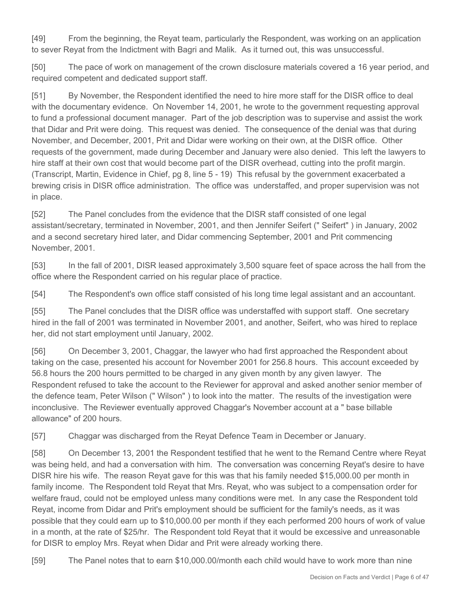[49] From the beginning, the Reyat team, particularly the Respondent, was working on an application to sever Reyat from the Indictment with Bagri and Malik. As it turned out, this was unsuccessful.

[50] The pace of work on management of the crown disclosure materials covered a 16 year period, and required competent and dedicated support staff.

[51] By November, the Respondent identified the need to hire more staff for the DISR office to deal with the documentary evidence. On November 14, 2001, he wrote to the government requesting approval to fund a professional document manager. Part of the job description was to supervise and assist the work that Didar and Prit were doing. This request was denied. The consequence of the denial was that during November, and December, 2001, Prit and Didar were working on their own, at the DISR office. Other requests of the government, made during December and January were also denied. This left the lawyers to hire staff at their own cost that would become part of the DISR overhead, cutting into the profit margin. (Transcript, Martin, Evidence in Chief, pg 8, line 5 - 19) This refusal by the government exacerbated a brewing crisis in DISR office administration. The office was understaffed, and proper supervision was not in place.

[52] The Panel concludes from the evidence that the DISR staff consisted of one legal assistant/secretary, terminated in November, 2001, and then Jennifer Seifert (" Seifert" ) in January, 2002 and a second secretary hired later, and Didar commencing September, 2001 and Prit commencing November, 2001.

[53] In the fall of 2001, DISR leased approximately 3,500 square feet of space across the hall from the office where the Respondent carried on his regular place of practice.

[54] The Respondent's own office staff consisted of his long time legal assistant and an accountant.

[55] The Panel concludes that the DISR office was understaffed with support staff. One secretary hired in the fall of 2001 was terminated in November 2001, and another, Seifert, who was hired to replace her, did not start employment until January, 2002.

[56] On December 3, 2001, Chaggar, the lawyer who had first approached the Respondent about taking on the case, presented his account for November 2001 for 256.8 hours. This account exceeded by 56.8 hours the 200 hours permitted to be charged in any given month by any given lawyer. The Respondent refused to take the account to the Reviewer for approval and asked another senior member of the defence team, Peter Wilson (" Wilson" ) to look into the matter. The results of the investigation were inconclusive. The Reviewer eventually approved Chaggar's November account at a " base billable allowance" of 200 hours.

[57] Chaggar was discharged from the Reyat Defence Team in December or January.

[58] On December 13, 2001 the Respondent testified that he went to the Remand Centre where Reyat was being held, and had a conversation with him. The conversation was concerning Reyat's desire to have DISR hire his wife. The reason Reyat gave for this was that his family needed \$15,000.00 per month in family income. The Respondent told Reyat that Mrs. Reyat, who was subject to a compensation order for welfare fraud, could not be employed unless many conditions were met. In any case the Respondent told Reyat, income from Didar and Prit's employment should be sufficient for the family's needs, as it was possible that they could earn up to \$10,000.00 per month if they each performed 200 hours of work of value in a month, at the rate of \$25/hr. The Respondent told Reyat that it would be excessive and unreasonable for DISR to employ Mrs. Reyat when Didar and Prit were already working there.

[59] The Panel notes that to earn \$10,000.00/month each child would have to work more than nine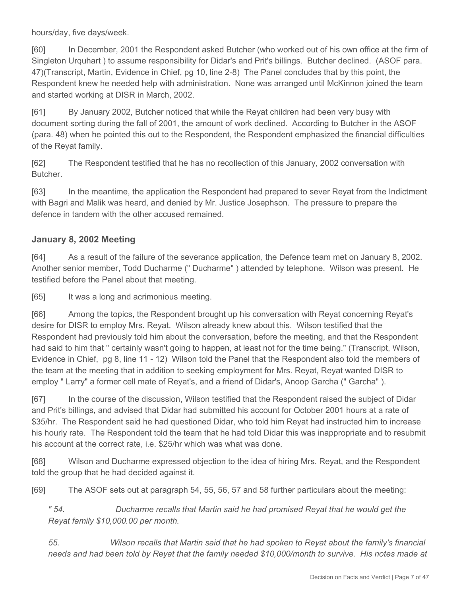hours/day, five days/week.

[60] In December, 2001 the Respondent asked Butcher (who worked out of his own office at the firm of Singleton Urquhart ) to assume responsibility for Didar's and Prit's billings. Butcher declined. (ASOF para. 47)(Transcript, Martin, Evidence in Chief, pg 10, line 2-8) The Panel concludes that by this point, the Respondent knew he needed help with administration. None was arranged until McKinnon joined the team and started working at DISR in March, 2002.

[61] By January 2002, Butcher noticed that while the Reyat children had been very busy with document sorting during the fall of 2001, the amount of work declined. According to Butcher in the ASOF (para. 48) when he pointed this out to the Respondent, the Respondent emphasized the financial difficulties of the Reyat family.

[62] The Respondent testified that he has no recollection of this January, 2002 conversation with Butcher.

[63] In the meantime, the application the Respondent had prepared to sever Reyat from the Indictment with Bagri and Malik was heard, and denied by Mr. Justice Josephson. The pressure to prepare the defence in tandem with the other accused remained.

## **January 8, 2002 Meeting**

[64] As a result of the failure of the severance application, the Defence team met on January 8, 2002. Another senior member, Todd Ducharme (" Ducharme" ) attended by telephone. Wilson was present. He testified before the Panel about that meeting.

[65] It was a long and acrimonious meeting.

[66] Among the topics, the Respondent brought up his conversation with Reyat concerning Reyat's desire for DISR to employ Mrs. Reyat. Wilson already knew about this. Wilson testified that the Respondent had previously told him about the conversation, before the meeting, and that the Respondent had said to him that " certainly wasn't going to happen, at least not for the time being." (Transcript, Wilson, Evidence in Chief, pg 8, line 11 - 12) Wilson told the Panel that the Respondent also told the members of the team at the meeting that in addition to seeking employment for Mrs. Reyat, Reyat wanted DISR to employ " Larry" a former cell mate of Reyat's, and a friend of Didar's, Anoop Garcha (" Garcha" ).

[67] In the course of the discussion, Wilson testified that the Respondent raised the subject of Didar and Prit's billings, and advised that Didar had submitted his account for October 2001 hours at a rate of \$35/hr. The Respondent said he had questioned Didar, who told him Reyat had instructed him to increase his hourly rate. The Respondent told the team that he had told Didar this was inappropriate and to resubmit his account at the correct rate, i.e. \$25/hr which was what was done.

[68] Wilson and Ducharme expressed objection to the idea of hiring Mrs. Reyat, and the Respondent told the group that he had decided against it.

[69] The ASOF sets out at paragraph 54, 55, 56, 57 and 58 further particulars about the meeting:

*" 54. Ducharme recalls that Martin said he had promised Reyat that he would get the Reyat family \$10,000.00 per month.*

*55. Wilson recalls that Martin said that he had spoken to Reyat about the family's financial needs and had been told by Reyat that the family needed \$10,000/month to survive. His notes made at*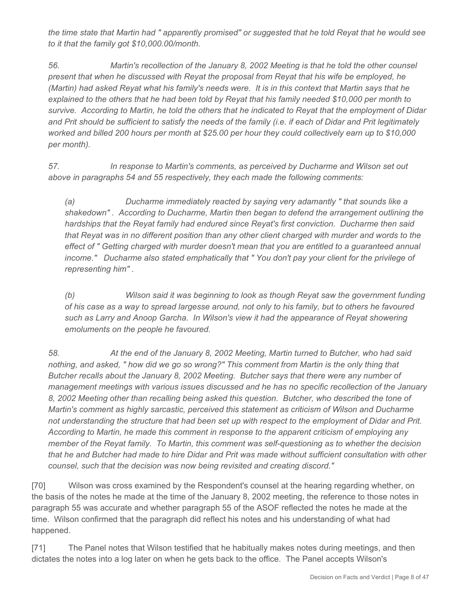*the time state that Martin had " apparently promised" or suggested that he told Reyat that he would see to it that the family got \$10,000.00/month.*

*56. Martin's recollection of the January 8, 2002 Meeting is that he told the other counsel present that when he discussed with Reyat the proposal from Reyat that his wife be employed, he (Martin) had asked Reyat what his family's needs were. It is in this context that Martin says that he explained to the others that he had been told by Reyat that his family needed \$10,000 per month to survive. According to Martin, he told the others that he indicated to Reyat that the employment of Didar and Prit should be sufficient to satisfy the needs of the family (i.e. if each of Didar and Prit legitimately worked and billed 200 hours per month at \$25.00 per hour they could collectively earn up to \$10,000 per month).*

*57. In response to Martin's comments, as perceived by Ducharme and Wilson set out above in paragraphs 54 and 55 respectively, they each made the following comments:*

*(a) Ducharme immediately reacted by saying very adamantly " that sounds like a shakedown" . According to Ducharme, Martin then began to defend the arrangement outlining the hardships that the Reyat family had endured since Reyat's first conviction. Ducharme then said that Reyat was in no different position than any other client charged with murder and words to the effect of " Getting charged with murder doesn't mean that you are entitled to a guaranteed annual income." Ducharme also stated emphatically that " You don't pay your client for the privilege of representing him" .*

*(b) Wilson said it was beginning to look as though Reyat saw the government funding of his case as a way to spread largesse around, not only to his family, but to others he favoured such as Larry and Anoop Garcha. In Wilson's view it had the appearance of Reyat showering emoluments on the people he favoured.*

*58. At the end of the January 8, 2002 Meeting, Martin turned to Butcher, who had said nothing, and asked, " how did we go so wrong?" This comment from Martin is the only thing that Butcher recalls about the January 8, 2002 Meeting. Butcher says that there were any number of management meetings with various issues discussed and he has no specific recollection of the January 8, 2002 Meeting other than recalling being asked this question. Butcher, who described the tone of Martin's comment as highly sarcastic, perceived this statement as criticism of Wilson and Ducharme not understanding the structure that had been set up with respect to the employment of Didar and Prit. According to Martin, he made this comment in response to the apparent criticism of employing any member of the Reyat family. To Martin, this comment was self-questioning as to whether the decision that he and Butcher had made to hire Didar and Prit was made without sufficient consultation with other counsel, such that the decision was now being revisited and creating discord."* 

[70] Wilson was cross examined by the Respondent's counsel at the hearing regarding whether, on the basis of the notes he made at the time of the January 8, 2002 meeting, the reference to those notes in paragraph 55 was accurate and whether paragraph 55 of the ASOF reflected the notes he made at the time. Wilson confirmed that the paragraph did reflect his notes and his understanding of what had happened.

[71] The Panel notes that Wilson testified that he habitually makes notes during meetings, and then dictates the notes into a log later on when he gets back to the office. The Panel accepts Wilson's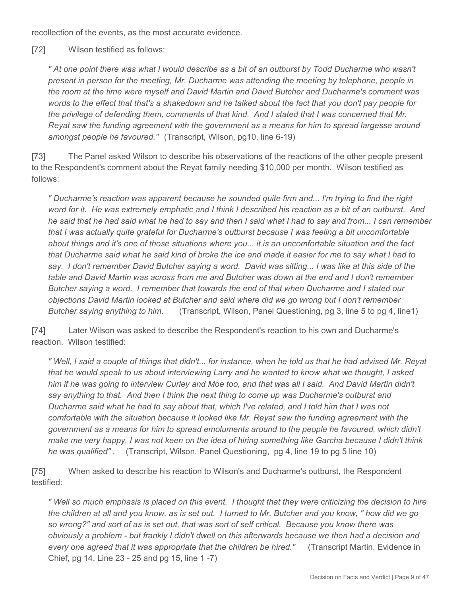recollection of the events, as the most accurate evidence.

[72] Wilson testified as follows:

*" At one point there was what I would describe as a bit of an outburst by Todd Ducharme who wasn't present in person for the meeting, Mr. Ducharme was attending the meeting by telephone, people in the room at the time were myself and David Martin and David Butcher and Ducharme's comment was words to the effect that that's a shakedown and he talked about the fact that you don't pay people for the privilege of defending them, comments of that kind. And I stated that I was concerned that Mr. Reyat saw the funding agreement with the government as a means for him to spread largesse around amongst people he favoured."* (Transcript, Wilson, pg10, line 6-19)

[73] The Panel asked Wilson to describe his observations of the reactions of the other people present to the Respondent's comment about the Reyat family needing \$10,000 per month. Wilson testified as follows:

*" Ducharme's reaction was apparent because he sounded quite firm and... I'm trying to find the right word for it. He was extremely emphatic and I think I described his reaction as a bit of an outburst. And he said that he had said what he had to say and then I said what I had to say and from... I can remember that I was actually quite grateful for Ducharme's outburst because I was feeling a bit uncomfortable about things and it's one of those situations where you... it is an uncomfortable situation and the fact that Ducharme said what he said kind of broke the ice and made it easier for me to say what I had to say. I don't remember David Butcher saying a word. David was sitting... I was like at this side of the table and David Martin was across from me and Butcher was down at the end and I don't remember Butcher saying a word. I remember that towards the end of that when Ducharme and I stated our objections David Martin looked at Butcher and said where did we go wrong but I don't remember Butcher saying anything to him.* (Transcript, Wilson, Panel Questioning, pg 3, line 5 to pg 4, line1)

[74] Later Wilson was asked to describe the Respondent's reaction to his own and Ducharme's reaction. Wilson testified:

*" Well, I said a couple of things that didn't... for instance, when he told us that he had advised Mr. Reyat that he would speak to us about interviewing Larry and he wanted to know what we thought, I asked him if he was going to interview Curley and Moe too, and that was all I said. And David Martin didn't say anything to that. And then I think the next thing to come up was Ducharme's outburst and Ducharme said what he had to say about that, which I've related, and I told him that I was not comfortable with the situation because it looked like Mr. Reyat saw the funding agreement with the government as a means for him to spread emoluments around to the people he favoured, which didn't make me very happy, I was not keen on the idea of hiring something like Garcha because I didn't think he was qualified" .* (Transcript, Wilson, Panel Questioning, pg 4, line 19 to pg 5 line 10)

[75] When asked to describe his reaction to Wilson's and Ducharme's outburst, the Respondent testified:

*" Well so much emphasis is placed on this event. I thought that they were criticizing the decision to hire the children at all and you know, as is set out. I turned to Mr. Butcher and you know, " how did we go so wrong?" and sort of as is set out, that was sort of self critical. Because you know there was obviously a problem - but frankly I didn't dwell on this afterwards because we then had a decision and every one agreed that it was appropriate that the children be hired."* (Transcript Martin, Evidence in Chief, pg 14, Line 23 - 25 and pg 15, line 1 -7)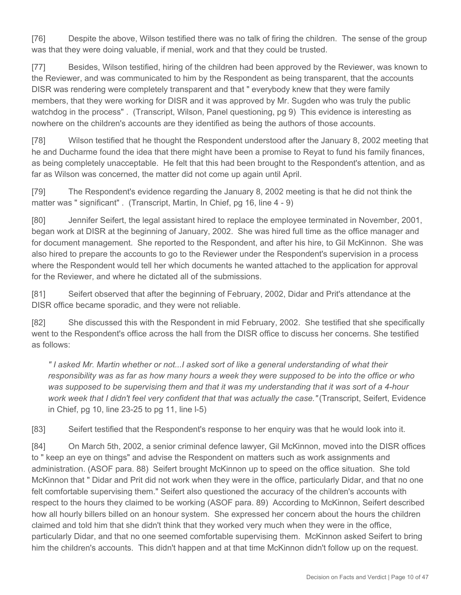[76] Despite the above, Wilson testified there was no talk of firing the children. The sense of the group was that they were doing valuable, if menial, work and that they could be trusted.

[77] Besides, Wilson testified, hiring of the children had been approved by the Reviewer, was known to the Reviewer, and was communicated to him by the Respondent as being transparent, that the accounts DISR was rendering were completely transparent and that " everybody knew that they were family members, that they were working for DISR and it was approved by Mr. Sugden who was truly the public watchdog in the process" . (Transcript, Wilson, Panel questioning, pg 9) This evidence is interesting as nowhere on the children's accounts are they identified as being the authors of those accounts.

[78] Wilson testified that he thought the Respondent understood after the January 8, 2002 meeting that he and Ducharme found the idea that there might have been a promise to Reyat to fund his family finances, as being completely unacceptable. He felt that this had been brought to the Respondent's attention, and as far as Wilson was concerned, the matter did not come up again until April.

[79] The Respondent's evidence regarding the January 8, 2002 meeting is that he did not think the matter was " significant". (Transcript, Martin, In Chief, pg 16, line 4 - 9)

[80] Jennifer Seifert, the legal assistant hired to replace the employee terminated in November, 2001, began work at DISR at the beginning of January, 2002. She was hired full time as the office manager and for document management. She reported to the Respondent, and after his hire, to Gil McKinnon. She was also hired to prepare the accounts to go to the Reviewer under the Respondent's supervision in a process where the Respondent would tell her which documents he wanted attached to the application for approval for the Reviewer, and where he dictated all of the submissions.

[81] Seifert observed that after the beginning of February, 2002, Didar and Prit's attendance at the DISR office became sporadic, and they were not reliable.

[82] She discussed this with the Respondent in mid February, 2002. She testified that she specifically went to the Respondent's office across the hall from the DISR office to discuss her concerns. She testified as follows:

*" I asked Mr. Martin whether or not...I asked sort of like a general understanding of what their responsibility was as far as how many hours a week they were supposed to be into the office or who was supposed to be supervising them and that it was my understanding that it was sort of a 4-hour work week that I didn't feel very confident that that was actually the case."* (Transcript, Seifert, Evidence in Chief, pg 10, line 23-25 to pg 11, line l-5)

[83] Seifert testified that the Respondent's response to her enquiry was that he would look into it.

[84] On March 5th, 2002, a senior criminal defence lawyer, Gil McKinnon, moved into the DISR offices to " keep an eye on things" and advise the Respondent on matters such as work assignments and administration. (ASOF para. 88) Seifert brought McKinnon up to speed on the office situation. She told McKinnon that " Didar and Prit did not work when they were in the office, particularly Didar, and that no one felt comfortable supervising them." Seifert also questioned the accuracy of the children's accounts with respect to the hours they claimed to be working (ASOF para. 89) According to McKinnon, Seifert described how all hourly billers billed on an honour system. She expressed her concern about the hours the children claimed and told him that she didn't think that they worked very much when they were in the office, particularly Didar, and that no one seemed comfortable supervising them. McKinnon asked Seifert to bring him the children's accounts. This didn't happen and at that time McKinnon didn't follow up on the request.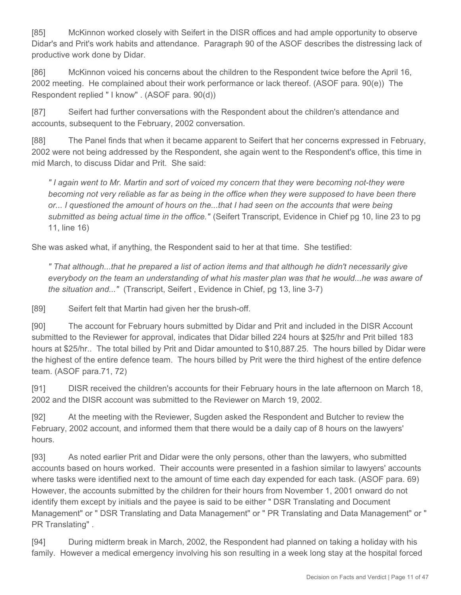[85] McKinnon worked closely with Seifert in the DISR offices and had ample opportunity to observe Didar's and Prit's work habits and attendance. Paragraph 90 of the ASOF describes the distressing lack of productive work done by Didar.

[86] McKinnon voiced his concerns about the children to the Respondent twice before the April 16, 2002 meeting. He complained about their work performance or lack thereof. (ASOF para. 90(e)) The Respondent replied " I know" . (ASOF para. 90(d))

[87] Seifert had further conversations with the Respondent about the children's attendance and accounts, subsequent to the February, 2002 conversation.

[88] The Panel finds that when it became apparent to Seifert that her concerns expressed in February, 2002 were not being addressed by the Respondent, she again went to the Respondent's office, this time in mid March, to discuss Didar and Prit. She said:

*" I again went to Mr. Martin and sort of voiced my concern that they were becoming not-they were becoming not very reliable as far as being in the office when they were supposed to have been there or... I questioned the amount of hours on the...that I had seen on the accounts that were being submitted as being actual time in the office."* (Seifert Transcript, Evidence in Chief pg 10, line 23 to pg 11, line 16)

She was asked what, if anything, the Respondent said to her at that time. She testified:

*" That although...that he prepared a list of action items and that although he didn't necessarily give everybody on the team an understanding of what his master plan was that he would...he was aware of the situation and..."* (Transcript, Seifert , Evidence in Chief, pg 13, line 3-7)

[89] Seifert felt that Martin had given her the brush-off.

[90] The account for February hours submitted by Didar and Prit and included in the DISR Account submitted to the Reviewer for approval, indicates that Didar billed 224 hours at \$25/hr and Prit billed 183 hours at \$25/hr.. The total billed by Prit and Didar amounted to \$10,887.25. The hours billed by Didar were the highest of the entire defence team. The hours billed by Prit were the third highest of the entire defence team. (ASOF para.71, 72)

[91] DISR received the children's accounts for their February hours in the late afternoon on March 18, 2002 and the DISR account was submitted to the Reviewer on March 19, 2002.

[92] At the meeting with the Reviewer, Sugden asked the Respondent and Butcher to review the February, 2002 account, and informed them that there would be a daily cap of 8 hours on the lawyers' hours.

[93] As noted earlier Prit and Didar were the only persons, other than the lawyers, who submitted accounts based on hours worked. Their accounts were presented in a fashion similar to lawyers' accounts where tasks were identified next to the amount of time each day expended for each task. (ASOF para. 69) However, the accounts submitted by the children for their hours from November 1, 2001 onward do not identify them except by initials and the payee is said to be either " DSR Translating and Document Management" or " DSR Translating and Data Management" or " PR Translating and Data Management" or " PR Translating" .

[94] During midterm break in March, 2002, the Respondent had planned on taking a holiday with his family. However a medical emergency involving his son resulting in a week long stay at the hospital forced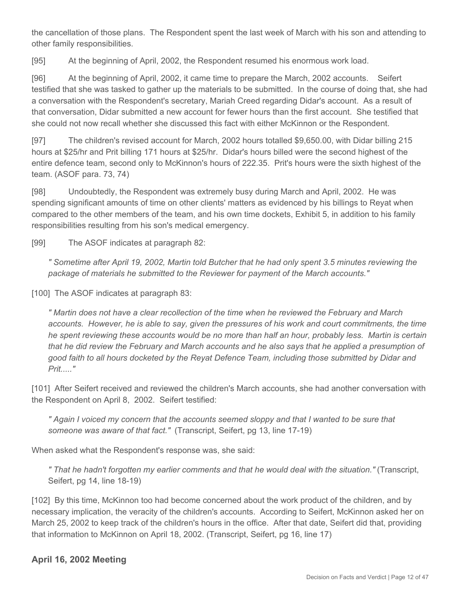the cancellation of those plans. The Respondent spent the last week of March with his son and attending to other family responsibilities.

[95] At the beginning of April, 2002, the Respondent resumed his enormous work load.

[96] At the beginning of April, 2002, it came time to prepare the March, 2002 accounts. Seifert testified that she was tasked to gather up the materials to be submitted. In the course of doing that, she had a conversation with the Respondent's secretary, Mariah Creed regarding Didar's account. As a result of that conversation, Didar submitted a new account for fewer hours than the first account. She testified that she could not now recall whether she discussed this fact with either McKinnon or the Respondent.

[97] The children's revised account for March, 2002 hours totalled \$9,650.00, with Didar billing 215 hours at \$25/hr and Prit billing 171 hours at \$25/hr. Didar's hours billed were the second highest of the entire defence team, second only to McKinnon's hours of 222.35. Prit's hours were the sixth highest of the team. (ASOF para. 73, 74)

[98] Undoubtedly, the Respondent was extremely busy during March and April, 2002. He was spending significant amounts of time on other clients' matters as evidenced by his billings to Reyat when compared to the other members of the team, and his own time dockets, Exhibit 5, in addition to his family responsibilities resulting from his son's medical emergency.

[99] The ASOF indicates at paragraph 82:

*" Sometime after April 19, 2002, Martin told Butcher that he had only spent 3.5 minutes reviewing the package of materials he submitted to the Reviewer for payment of the March accounts."* 

[100] The ASOF indicates at paragraph 83:

*" Martin does not have a clear recollection of the time when he reviewed the February and March accounts. However, he is able to say, given the pressures of his work and court commitments, the time he spent reviewing these accounts would be no more than half an hour, probably less. Martin is certain that he did review the February and March accounts and he also says that he applied a presumption of good faith to all hours docketed by the Reyat Defence Team, including those submitted by Didar and Prit....."* 

[101] After Seifert received and reviewed the children's March accounts, she had another conversation with the Respondent on April 8, 2002. Seifert testified:

*" Again I voiced my concern that the accounts seemed sloppy and that I wanted to be sure that someone was aware of that fact."* (Transcript, Seifert, pg 13, line 17-19)

When asked what the Respondent's response was, she said:

*" That he hadn't forgotten my earlier comments and that he would deal with the situation."* (Transcript, Seifert, pg 14, line 18-19)

[102] By this time, McKinnon too had become concerned about the work product of the children, and by necessary implication, the veracity of the children's accounts. According to Seifert, McKinnon asked her on March 25, 2002 to keep track of the children's hours in the office. After that date, Seifert did that, providing that information to McKinnon on April 18, 2002. (Transcript, Seifert, pg 16, line 17)

## **April 16, 2002 Meeting**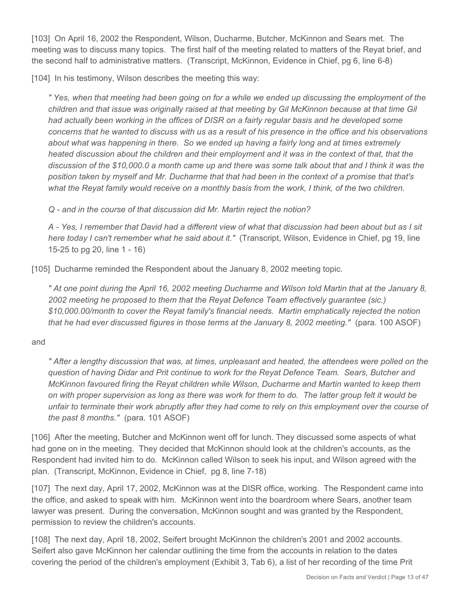[103] On April 16, 2002 the Respondent, Wilson, Ducharme, Butcher, McKinnon and Sears met. The meeting was to discuss many topics. The first half of the meeting related to matters of the Reyat brief, and the second half to administrative matters. (Transcript, McKinnon, Evidence in Chief, pg 6, line 6-8)

[104] In his testimony, Wilson describes the meeting this way:

*" Yes, when that meeting had been going on for a while we ended up discussing the employment of the children and that issue was originally raised at that meeting by Gil McKinnon because at that time Gil had actually been working in the offices of DISR on a fairly regular basis and he developed some concerns that he wanted to discuss with us as a result of his presence in the office and his observations about what was happening in there. So we ended up having a fairly long and at times extremely heated discussion about the children and their employment and it was in the context of that, that the discussion of the \$10,000.0 a month came up and there was some talk about that and I think it was the position taken by myself and Mr. Ducharme that that had been in the context of a promise that that's what the Reyat family would receive on a monthly basis from the work, I think, of the two children.*

*Q - and in the course of that discussion did Mr. Martin reject the notion?*

*A - Yes, I remember that David had a different view of what that discussion had been about but as I sit here today I can't remember what he said about it."* (Transcript, Wilson, Evidence in Chief, pg 19, line 15-25 to pg 20, line 1 - 16)

[105] Ducharme reminded the Respondent about the January 8, 2002 meeting topic.

*" At one point during the April 16, 2002 meeting Ducharme and Wilson told Martin that at the January 8, 2002 meeting he proposed to them that the Reyat Defence Team effectively guarantee (sic.) \$10,000.00/month to cover the Reyat family's financial needs. Martin emphatically rejected the notion that he had ever discussed figures in those terms at the January 8, 2002 meeting."* (para. 100 ASOF)

#### and

*" After a lengthy discussion that was, at times, unpleasant and heated, the attendees were polled on the question of having Didar and Prit continue to work for the Reyat Defence Team. Sears, Butcher and McKinnon favoured firing the Reyat children while Wilson, Ducharme and Martin wanted to keep them on with proper supervision as long as there was work for them to do. The latter group felt it would be unfair to terminate their work abruptly after they had come to rely on this employment over the course of the past 8 months."* (para. 101 ASOF)

[106] After the meeting, Butcher and McKinnon went off for lunch. They discussed some aspects of what had gone on in the meeting. They decided that McKinnon should look at the children's accounts, as the Respondent had invited him to do. McKinnon called Wilson to seek his input, and Wilson agreed with the plan. (Transcript, McKinnon, Evidence in Chief, pg 8, line 7-18)

[107] The next day, April 17, 2002, McKinnon was at the DISR office, working. The Respondent came into the office, and asked to speak with him. McKinnon went into the boardroom where Sears, another team lawyer was present. During the conversation, McKinnon sought and was granted by the Respondent, permission to review the children's accounts.

[108] The next day, April 18, 2002, Seifert brought McKinnon the children's 2001 and 2002 accounts. Seifert also gave McKinnon her calendar outlining the time from the accounts in relation to the dates covering the period of the children's employment (Exhibit 3, Tab 6), a list of her recording of the time Prit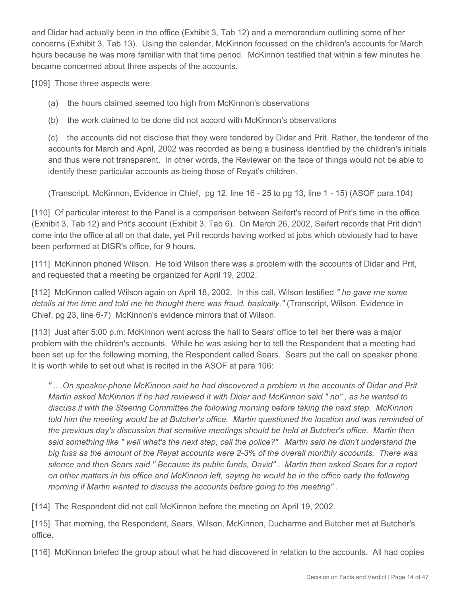and Didar had actually been in the office (Exhibit 3, Tab 12) and a memorandum outlining some of her concerns (Exhibit 3, Tab 13). Using the calendar, McKinnon focussed on the children's accounts for March hours because he was more familiar with that time period. McKinnon testified that within a few minutes he became concerned about three aspects of the accounts.

[109] Those three aspects were:

- (a) the hours claimed seemed too high from McKinnon's observations
- (b) the work claimed to be done did not accord with McKinnon's observations

(c) the accounts did not disclose that they were tendered by Didar and Prit. Rather, the tenderer of the accounts for March and April, 2002 was recorded as being a business identified by the children's initials and thus were not transparent. In other words, the Reviewer on the face of things would not be able to identify these particular accounts as being those of Reyat's children.

(Transcript, McKinnon, Evidence in Chief, pg 12, line 16 - 25 to pg 13, line 1 - 15) (ASOF para.104)

[110] Of particular interest to the Panel is a comparison between Seifert's record of Prit's time in the office (Exhibit 3, Tab 12) and Prit's account (Exhibit 3, Tab 6). On March 26, 2002, Seifert records that Prit didn't come into the office at all on that date, yet Prit records having worked at jobs which obviously had to have been performed at DISR's office, for 9 hours.

[111] McKinnon phoned Wilson. He told Wilson there was a problem with the accounts of Didar and Prit, and requested that a meeting be organized for April 19, 2002.

[112] McKinnon called Wilson again on April 18, 2002. In this call, Wilson testified *" he gave me some details at the time and told me he thought there was fraud, basically."* (Transcript, Wilson, Evidence in Chief, pg 23, line 6-7) McKinnon's evidence mirrors that of Wilson.

[113] Just after 5:00 p.m. McKinnon went across the hall to Sears' office to tell her there was a major problem with the children's accounts. While he was asking her to tell the Respondent that a meeting had been set up for the following morning, the Respondent called Sears. Sears put the call on speaker phone. It is worth while to set out what is recited in the ASOF at para 106:

*" ....On speaker-phone McKinnon said he had discovered a problem in the accounts of Didar and Prit. Martin asked McKinnon if he had reviewed it with Didar and McKinnon said " no" , as he wanted to discuss it with the Steering Committee the following morning before taking the next step. McKinnon told him the meeting would be at Butcher's office. Martin questioned the location and was reminded of the previous day's discussion that sensitive meetings should be held at Butcher's office. Martin then said something like " well what's the next step, call the police?" Martin said he didn't understand the big fuss as the amount of the Reyat accounts were 2-3% of the overall monthly accounts. There was silence and then Sears said " Because its public funds, David" . Martin then asked Sears for a report on other matters in his office and McKinnon left, saying he would be in the office early the following morning if Martin wanted to discuss the accounts before going to the meeting" .*

[114] The Respondent did not call McKinnon before the meeting on April 19, 2002.

[115] That morning, the Respondent, Sears, Wilson, McKinnon, Ducharme and Butcher met at Butcher's office.

[116] McKinnon briefed the group about what he had discovered in relation to the accounts. All had copies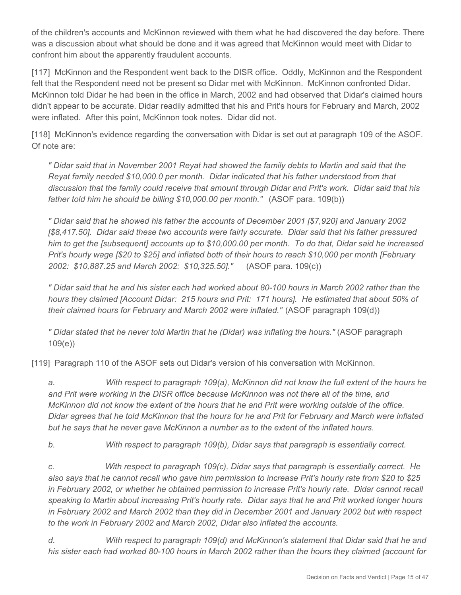of the children's accounts and McKinnon reviewed with them what he had discovered the day before. There was a discussion about what should be done and it was agreed that McKinnon would meet with Didar to confront him about the apparently fraudulent accounts.

[117] McKinnon and the Respondent went back to the DISR office. Oddly, McKinnon and the Respondent felt that the Respondent need not be present so Didar met with McKinnon. McKinnon confronted Didar. McKinnon told Didar he had been in the office in March, 2002 and had observed that Didar's claimed hours didn't appear to be accurate. Didar readily admitted that his and Prit's hours for February and March, 2002 were inflated. After this point, McKinnon took notes. Didar did not.

[118] McKinnon's evidence regarding the conversation with Didar is set out at paragraph 109 of the ASOF. Of note are:

*" Didar said that in November 2001 Reyat had showed the family debts to Martin and said that the Reyat family needed \$10,000.0 per month. Didar indicated that his father understood from that discussion that the family could receive that amount through Didar and Prit's work. Didar said that his father told him he should be billing \$10,000.00 per month."* (ASOF para. 109(b))

*" Didar said that he showed his father the accounts of December 2001 [\$7,920] and January 2002 [\$8,417.50]. Didar said these two accounts were fairly accurate. Didar said that his father pressured him to get the [subsequent] accounts up to \$10,000.00 per month. To do that, Didar said he increased Prit's hourly wage [\$20 to \$25] and inflated both of their hours to reach \$10,000 per month [February 2002: \$10,887.25 and March 2002: \$10,325.50]."* (ASOF para. 109(c))

*" Didar said that he and his sister each had worked about 80-100 hours in March 2002 rather than the hours they claimed [Account Didar: 215 hours and Prit: 171 hours]. He estimated that about 50% of their claimed hours for February and March 2002 were inflated."* (ASOF paragraph 109(d))

*" Didar stated that he never told Martin that he (Didar) was inflating the hours."* (ASOF paragraph 109(e))

[119] Paragraph 110 of the ASOF sets out Didar's version of his conversation with McKinnon.

*a. With respect to paragraph 109(a), McKinnon did not know the full extent of the hours he and Prit were working in the DISR office because McKinnon was not there all of the time, and McKinnon did not know the extent of the hours that he and Prit were working outside of the office. Didar agrees that he told McKinnon that the hours for he and Prit for February and March were inflated but he says that he never gave McKinnon a number as to the extent of the inflated hours.*

*b. With respect to paragraph 109(b), Didar says that paragraph is essentially correct.* 

*c. With respect to paragraph 109(c), Didar says that paragraph is essentially correct. He also says that he cannot recall who gave him permission to increase Prit's hourly rate from \$20 to \$25 in February 2002, or whether he obtained permission to increase Prit's hourly rate. Didar cannot recall speaking to Martin about increasing Prit's hourly rate. Didar says that he and Prit worked longer hours in February 2002 and March 2002 than they did in December 2001 and January 2002 but with respect to the work in February 2002 and March 2002, Didar also inflated the accounts.* 

*d. With respect to paragraph 109(d) and McKinnon's statement that Didar said that he and his sister each had worked 80-100 hours in March 2002 rather than the hours they claimed (account for*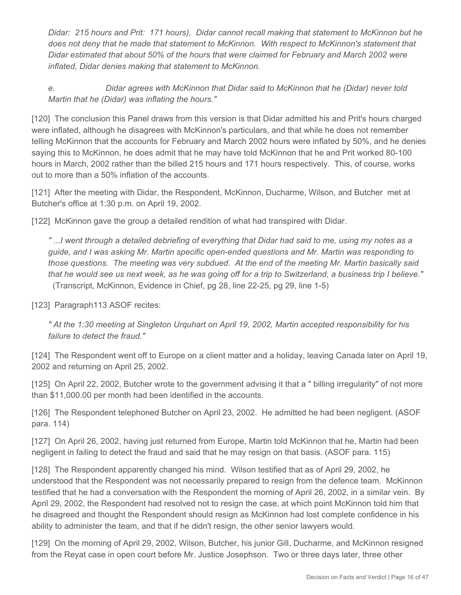*Didar: 215 hours and Prit: 171 hours), Didar cannot recall making that statement to McKinnon but he does not deny that he made that statement to McKinnon. With respect to McKinnon's statement that Didar estimated that about 50% of the hours that were claimed for February and March 2002 were inflated, Didar denies making that statement to McKinnon.*

*e. Didar agrees with McKinnon that Didar said to McKinnon that he (Didar) never told Martin that he (Didar) was inflating the hours."* 

[120] The conclusion this Panel draws from this version is that Didar admitted his and Prit's hours charged were inflated, although he disagrees with McKinnon's particulars, and that while he does not remember telling McKinnon that the accounts for February and March 2002 hours were inflated by 50%, and he denies saying this to McKinnon, he does admit that he may have told McKinnon that he and Prit worked 80-100 hours in March, 2002 rather than the billed 215 hours and 171 hours respectively. This, of course, works out to more than a 50% inflation of the accounts.

[121] After the meeting with Didar, the Respondent, McKinnon, Ducharme, Wilson, and Butcher met at Butcher's office at 1:30 p.m. on April 19, 2002.

[122] McKinnon gave the group a detailed rendition of what had transpired with Didar.

*" ...I went through a detailed debriefing of everything that Didar had said to me, using my notes as a guide, and I was asking Mr. Martin specific open-ended questions and Mr. Martin was responding to those questions. The meeting was very subdued. At the end of the meeting Mr. Martin basically said that he would see us next week, as he was going off for a trip to Switzerland, a business trip I believe."* (Transcript, McKinnon, Evidence in Chief, pg 28, line 22-25, pg 29, line 1-5)

[123] Paragraph113 ASOF recites:

*" At the 1:30 meeting at Singleton Urquhart on April 19, 2002, Martin accepted responsibility for his failure to detect the fraud."* 

[124] The Respondent went off to Europe on a client matter and a holiday, leaving Canada later on April 19, 2002 and returning on April 25, 2002.

[125] On April 22, 2002, Butcher wrote to the government advising it that a " billing irregularity" of not more than \$11,000.00 per month had been identified in the accounts.

[126] The Respondent telephoned Butcher on April 23, 2002. He admitted he had been negligent. (ASOF para. 114)

[127] On April 26, 2002, having just returned from Europe, Martin told McKinnon that he, Martin had been negligent in failing to detect the fraud and said that he may resign on that basis. (ASOF para. 115)

[128] The Respondent apparently changed his mind. Wilson testified that as of April 29, 2002, he understood that the Respondent was not necessarily prepared to resign from the defence team. McKinnon testified that he had a conversation with the Respondent the morning of April 26, 2002, in a similar vein. By April 29, 2002, the Respondent had resolved not to resign the case, at which point McKinnon told him that he disagreed and thought the Respondent should resign as McKinnon had lost complete confidence in his ability to administer the team, and that if he didn't resign, the other senior lawyers would.

[129] On the morning of April 29, 2002, Wilson, Butcher, his junior Gill, Ducharme, and McKinnon resigned from the Reyat case in open court before Mr. Justice Josephson. Two or three days later, three other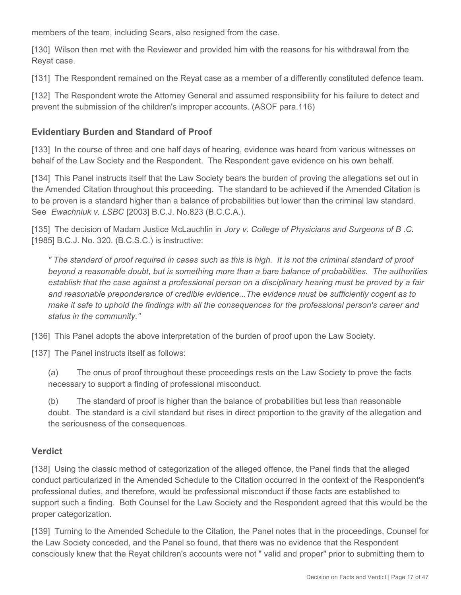members of the team, including Sears, also resigned from the case.

[130] Wilson then met with the Reviewer and provided him with the reasons for his withdrawal from the Reyat case.

[131] The Respondent remained on the Reyat case as a member of a differently constituted defence team.

[132] The Respondent wrote the Attorney General and assumed responsibility for his failure to detect and prevent the submission of the children's improper accounts. (ASOF para.116)

## **Evidentiary Burden and Standard of Proof**

[133] In the course of three and one half days of hearing, evidence was heard from various witnesses on behalf of the Law Society and the Respondent. The Respondent gave evidence on his own behalf.

[134] This Panel instructs itself that the Law Society bears the burden of proving the allegations set out in the Amended Citation throughout this proceeding. The standard to be achieved if the Amended Citation is to be proven is a standard higher than a balance of probabilities but lower than the criminal law standard. See *Ewachniuk v. LSBC* [2003] B.C.J. No.823 (B.C.C.A.).

[135] The decision of Madam Justice McLauchlin in *Jory v. College of Physicians and Surgeons of B .C.* [1985] B.C.J. No. 320. (B.C.S.C.) is instructive:

*" The standard of proof required in cases such as this is high. It is not the criminal standard of proof beyond a reasonable doubt, but is something more than a bare balance of probabilities. The authorities establish that the case against a professional person on a disciplinary hearing must be proved by a fair and reasonable preponderance of credible evidence...The evidence must be sufficiently cogent as to make it safe to uphold the findings with all the consequences for the professional person's career and status in the community."* 

[136] This Panel adopts the above interpretation of the burden of proof upon the Law Society.

[137] The Panel instructs itself as follows:

(a) The onus of proof throughout these proceedings rests on the Law Society to prove the facts necessary to support a finding of professional misconduct.

(b) The standard of proof is higher than the balance of probabilities but less than reasonable doubt. The standard is a civil standard but rises in direct proportion to the gravity of the allegation and the seriousness of the consequences.

#### **Verdict**

[138] Using the classic method of categorization of the alleged offence, the Panel finds that the alleged conduct particularized in the Amended Schedule to the Citation occurred in the context of the Respondent's professional duties, and therefore, would be professional misconduct if those facts are established to support such a finding. Both Counsel for the Law Society and the Respondent agreed that this would be the proper categorization.

[139] Turning to the Amended Schedule to the Citation, the Panel notes that in the proceedings, Counsel for the Law Society conceded, and the Panel so found, that there was no evidence that the Respondent consciously knew that the Reyat children's accounts were not " valid and proper" prior to submitting them to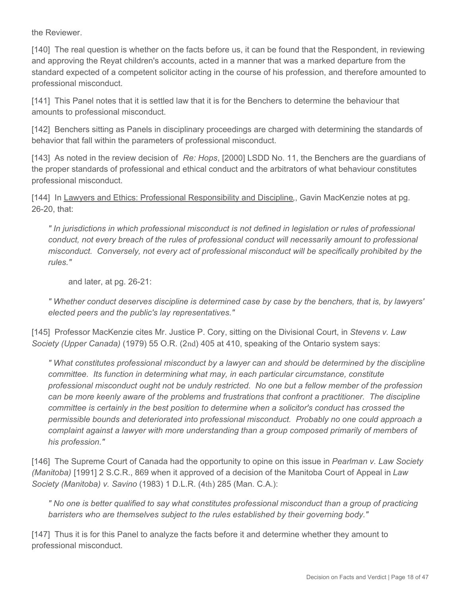the Reviewer.

[140] The real question is whether on the facts before us, it can be found that the Respondent, in reviewing and approving the Reyat children's accounts, acted in a manner that was a marked departure from the standard expected of a competent solicitor acting in the course of his profession, and therefore amounted to professional misconduct.

[141] This Panel notes that it is settled law that it is for the Benchers to determine the behaviour that amounts to professional misconduct.

[142] Benchers sitting as Panels in disciplinary proceedings are charged with determining the standards of behavior that fall within the parameters of professional misconduct.

[143] As noted in the review decision of *Re: Hops*, [2000] LSDD No. 11, the Benchers are the guardians of the proper standards of professional and ethical conduct and the arbitrators of what behaviour constitutes professional misconduct.

[144] In Lawyers and Ethics: Professional Responsibility and Discipline,, Gavin MacKenzie notes at pg. 26-20, that:

*" In jurisdictions in which professional misconduct is not defined in legislation or rules of professional conduct, not every breach of the rules of professional conduct will necessarily amount to professional misconduct. Conversely, not every act of professional misconduct will be specifically prohibited by the rules."* 

and later, at pg. 26-21:

*" Whether conduct deserves discipline is determined case by case by the benchers, that is, by lawyers' elected peers and the public's lay representatives."* 

[145] Professor MacKenzie cites Mr. Justice P. Cory, sitting on the Divisional Court, in *Stevens v. Law Society (Upper Canada)* (1979) 55 O.R. (2nd) 405 at 410, speaking of the Ontario system says:

*" What constitutes professional misconduct by a lawyer can and should be determined by the discipline committee. Its function in determining what may, in each particular circumstance, constitute professional misconduct ought not be unduly restricted. No one but a fellow member of the profession can be more keenly aware of the problems and frustrations that confront a practitioner. The discipline committee is certainly in the best position to determine when a solicitor's conduct has crossed the permissible bounds and deteriorated into professional misconduct. Probably no one could approach a complaint against a lawyer with more understanding than a group composed primarily of members of his profession."* 

[146] The Supreme Court of Canada had the opportunity to opine on this issue in *Pearlman v. Law Society (Manitoba)* [1991] 2 S.C.R., 869 when it approved of a decision of the Manitoba Court of Appeal in *Law Society (Manitoba) v. Savino* (1983) 1 D.L.R. (4th) 285 (Man. C.A.):

*" No one is better qualified to say what constitutes professional misconduct than a group of practicing barristers who are themselves subject to the rules established by their governing body."* 

[147] Thus it is for this Panel to analyze the facts before it and determine whether they amount to professional misconduct.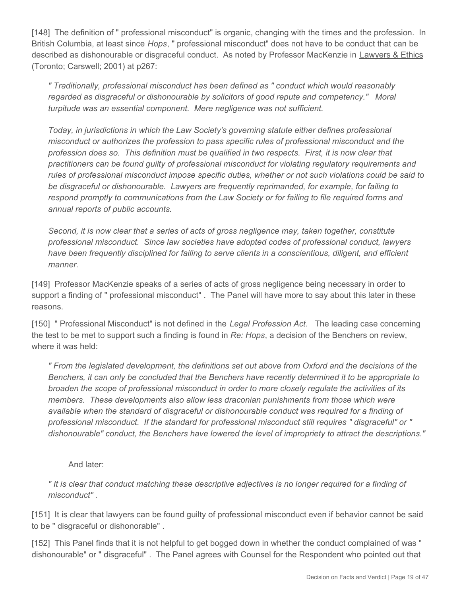[148] The definition of " professional misconduct" is organic, changing with the times and the profession. In British Columbia, at least since *Hops*, " professional misconduct" does not have to be conduct that can be described as dishonourable or disgraceful conduct. As noted by Professor MacKenzie in Lawyers & Ethics (Toronto; Carswell; 2001) at p267:

*" Traditionally, professional misconduct has been defined as " conduct which would reasonably regarded as disgraceful or dishonourable by solicitors of good repute and competency." Moral turpitude was an essential component. Mere negligence was not sufficient.*

*Today, in jurisdictions in which the Law Society's governing statute either defines professional misconduct or authorizes the profession to pass specific rules of professional misconduct and the profession does so. This definition must be qualified in two respects. First, it is now clear that practitioners can be found guilty of professional misconduct for violating regulatory requirements and rules of professional misconduct impose specific duties, whether or not such violations could be said to be disgraceful or dishonourable. Lawyers are frequently reprimanded, for example, for failing to respond promptly to communications from the Law Society or for failing to file required forms and annual reports of public accounts.*

*Second, it is now clear that a series of acts of gross negligence may, taken together, constitute professional misconduct. Since law societies have adopted codes of professional conduct, lawyers have been frequently disciplined for failing to serve clients in a conscientious, diligent, and efficient manner.*

[149] Professor MacKenzie speaks of a series of acts of gross negligence being necessary in order to support a finding of " professional misconduct" . The Panel will have more to say about this later in these reasons.

[150] " Professional Misconduct" is not defined in the *Legal Profession Act*. The leading case concerning the test to be met to support such a finding is found in *Re: Hops*, a decision of the Benchers on review, where it was held:

*" From the legislated development, the definitions set out above from Oxford and the decisions of the Benchers, it can only be concluded that the Benchers have recently determined it to be appropriate to broaden the scope of professional misconduct in order to more closely regulate the activities of its members. These developments also allow less draconian punishments from those which were available when the standard of disgraceful or dishonourable conduct was required for a finding of professional misconduct. If the standard for professional misconduct still requires " disgraceful" or " dishonourable" conduct, the Benchers have lowered the level of impropriety to attract the descriptions."*

And later:

*" It is clear that conduct matching these descriptive adjectives is no longer required for a finding of misconduct" .*

[151] It is clear that lawyers can be found guilty of professional misconduct even if behavior cannot be said to be " disgraceful or dishonorable" .

[152] This Panel finds that it is not helpful to get bogged down in whether the conduct complained of was " dishonourable" or " disgraceful" . The Panel agrees with Counsel for the Respondent who pointed out that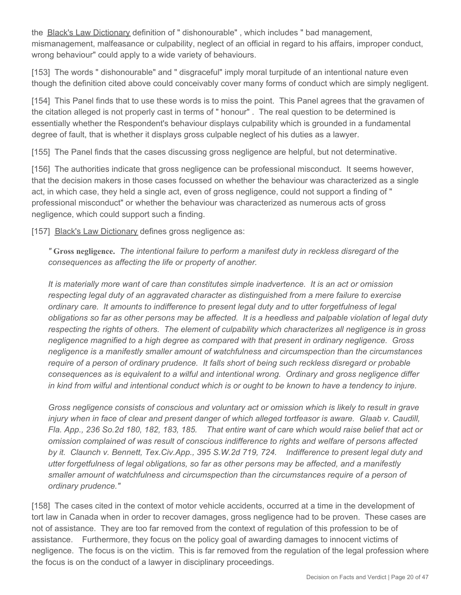the **Black's Law Dictionary** definition of " dishonourable", which includes " bad management, mismanagement, malfeasance or culpability, neglect of an official in regard to his affairs, improper conduct, wrong behaviour" could apply to a wide variety of behaviours.

[153] The words " dishonourable" and " disgraceful" imply moral turpitude of an intentional nature even though the definition cited above could conceivably cover many forms of conduct which are simply negligent.

[154] This Panel finds that to use these words is to miss the point. This Panel agrees that the gravamen of the citation alleged is not properly cast in terms of " honour" . The real question to be determined is essentially whether the Respondent's behaviour displays culpability which is grounded in a fundamental degree of fault, that is whether it displays gross culpable neglect of his duties as a lawyer.

[155] The Panel finds that the cases discussing gross negligence are helpful, but not determinative.

[156] The authorities indicate that gross negligence can be professional misconduct. It seems however, that the decision makers in those cases focussed on whether the behaviour was characterized as a single act, in which case, they held a single act, even of gross negligence, could not support a finding of " professional misconduct" or whether the behaviour was characterized as numerous acts of gross negligence, which could support such a finding.

[157] Black's Law Dictionary defines gross negligence as:

*"* **Gross negligence.** *The intentional failure to perform a manifest duty in reckless disregard of the consequences as affecting the life or property of another.* 

*It is materially more want of care than constitutes simple inadvertence. It is an act or omission respecting legal duty of an aggravated character as distinguished from a mere failure to exercise ordinary care. It amounts to indifference to present legal duty and to utter forgetfulness of legal obligations so far as other persons may be affected. It is a heedless and palpable violation of legal duty respecting the rights of others. The element of culpability which characterizes all negligence is in gross negligence magnified to a high degree as compared with that present in ordinary negligence. Gross negligence is a manifestly smaller amount of watchfulness and circumspection than the circumstances require of a person of ordinary prudence. It falls short of being such reckless disregard or probable consequences as is equivalent to a wilful and intentional wrong. Ordinary and gross negligence differ in kind from wilful and intentional conduct which is or ought to be known to have a tendency to injure.*

*Gross negligence consists of conscious and voluntary act or omission which is likely to result in grave injury when in face of clear and present danger of which alleged tortfeasor is aware. Glaab v. Caudill, Fla. App., 236 So.2d 180, 182, 183, 185. That entire want of care which would raise belief that act or omission complained of was result of conscious indifference to rights and welfare of persons affected by it. Claunch v. Bennett, Tex.Civ.App., 395 S.W.2d 719, 724. Indifference to present legal duty and utter forgetfulness of legal obligations, so far as other persons may be affected, and a manifestly smaller amount of watchfulness and circumspection than the circumstances require of a person of ordinary prudence."* 

[158] The cases cited in the context of motor vehicle accidents, occurred at a time in the development of tort law in Canada when in order to recover damages, gross negligence had to be proven. These cases are not of assistance. They are too far removed from the context of regulation of this profession to be of assistance. Furthermore, they focus on the policy goal of awarding damages to innocent victims of negligence. The focus is on the victim. This is far removed from the regulation of the legal profession where the focus is on the conduct of a lawyer in disciplinary proceedings.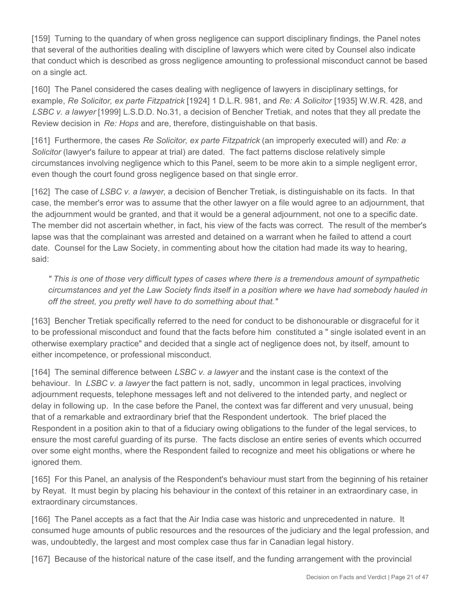[159] Turning to the quandary of when gross negligence can support disciplinary findings, the Panel notes that several of the authorities dealing with discipline of lawyers which were cited by Counsel also indicate that conduct which is described as gross negligence amounting to professional misconduct cannot be based on a single act.

[160] The Panel considered the cases dealing with negligence of lawyers in disciplinary settings, for example, *Re Solicitor, ex parte Fitzpatrick* [1924] 1 D.L.R. 981, and *Re: A Solicitor* [1935] W.W.R. 428, and *LSBC v. a lawyer* [1999] L.S.D.D. No.31, a decision of Bencher Tretiak, and notes that they all predate the Review decision in *Re: Hops* and are, therefore, distinguishable on that basis.

[161] Furthermore, the cases *Re Solicitor, ex parte Fitzpatrick* (an improperly executed will) and *Re: a Solicitor* (lawyer's failure to appear at trial) are dated. The fact patterns disclose relatively simple circumstances involving negligence which to this Panel, seem to be more akin to a simple negligent error, even though the court found gross negligence based on that single error.

[162] The case of *LSBC v. a lawyer*, a decision of Bencher Tretiak, is distinguishable on its facts. In that case, the member's error was to assume that the other lawyer on a file would agree to an adjournment, that the adjournment would be granted, and that it would be a general adjournment, not one to a specific date. The member did not ascertain whether, in fact, his view of the facts was correct. The result of the member's lapse was that the complainant was arrested and detained on a warrant when he failed to attend a court date. Counsel for the Law Society, in commenting about how the citation had made its way to hearing, said:

*" This is one of those very difficult types of cases where there is a tremendous amount of sympathetic circumstances and yet the Law Society finds itself in a position where we have had somebody hauled in off the street, you pretty well have to do something about that."* 

[163] Bencher Tretiak specifically referred to the need for conduct to be dishonourable or disgraceful for it to be professional misconduct and found that the facts before him constituted a " single isolated event in an otherwise exemplary practice" and decided that a single act of negligence does not, by itself, amount to either incompetence, or professional misconduct.

[164] The seminal difference between *LSBC v. a lawyer* and the instant case is the context of the behaviour. In *LSBC v. a lawyer* the fact pattern is not, sadly, uncommon in legal practices, involving adjournment requests, telephone messages left and not delivered to the intended party, and neglect or delay in following up. In the case before the Panel, the context was far different and very unusual, being that of a remarkable and extraordinary brief that the Respondent undertook. The brief placed the Respondent in a position akin to that of a fiduciary owing obligations to the funder of the legal services, to ensure the most careful guarding of its purse. The facts disclose an entire series of events which occurred over some eight months, where the Respondent failed to recognize and meet his obligations or where he ignored them.

[165] For this Panel, an analysis of the Respondent's behaviour must start from the beginning of his retainer by Reyat. It must begin by placing his behaviour in the context of this retainer in an extraordinary case, in extraordinary circumstances.

[166] The Panel accepts as a fact that the Air India case was historic and unprecedented in nature. It consumed huge amounts of public resources and the resources of the judiciary and the legal profession, and was, undoubtedly, the largest and most complex case thus far in Canadian legal history.

[167] Because of the historical nature of the case itself, and the funding arrangement with the provincial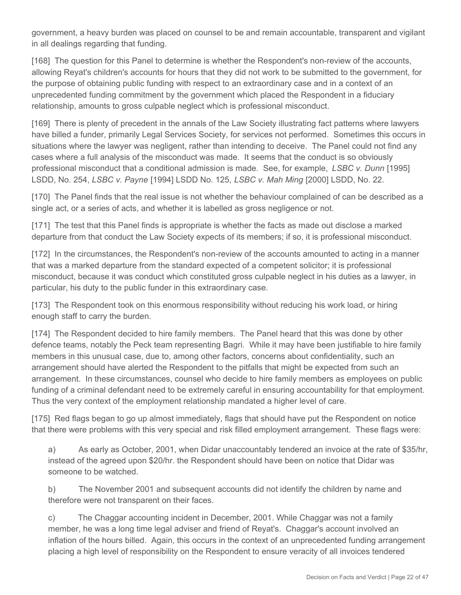government, a heavy burden was placed on counsel to be and remain accountable, transparent and vigilant in all dealings regarding that funding.

[168] The question for this Panel to determine is whether the Respondent's non-review of the accounts, allowing Reyat's children's accounts for hours that they did not work to be submitted to the government, for the purpose of obtaining public funding with respect to an extraordinary case and in a context of an unprecedented funding commitment by the government which placed the Respondent in a fiduciary relationship, amounts to gross culpable neglect which is professional misconduct.

[169] There is plenty of precedent in the annals of the Law Society illustrating fact patterns where lawyers have billed a funder, primarily Legal Services Society, for services not performed. Sometimes this occurs in situations where the lawyer was negligent, rather than intending to deceive. The Panel could not find any cases where a full analysis of the misconduct was made. It seems that the conduct is so obviously professional misconduct that a conditional admission is made. See, for example, *LSBC v. Dunn* [1995] LSDD, No. 254, *LSBC v. Payne* [1994] LSDD No. 125, *LSBC v. Mah Ming* [2000] LSDD, No. 22.

[170] The Panel finds that the real issue is not whether the behaviour complained of can be described as a single act, or a series of acts, and whether it is labelled as gross negligence or not.

[171] The test that this Panel finds is appropriate is whether the facts as made out disclose a marked departure from that conduct the Law Society expects of its members; if so, it is professional misconduct.

[172] In the circumstances, the Respondent's non-review of the accounts amounted to acting in a manner that was a marked departure from the standard expected of a competent solicitor; it is professional misconduct, because it was conduct which constituted gross culpable neglect in his duties as a lawyer, in particular, his duty to the public funder in this extraordinary case.

[173] The Respondent took on this enormous responsibility without reducing his work load, or hiring enough staff to carry the burden.

[174] The Respondent decided to hire family members. The Panel heard that this was done by other defence teams, notably the Peck team representing Bagri. While it may have been justifiable to hire family members in this unusual case, due to, among other factors, concerns about confidentiality, such an arrangement should have alerted the Respondent to the pitfalls that might be expected from such an arrangement. In these circumstances, counsel who decide to hire family members as employees on public funding of a criminal defendant need to be extremely careful in ensuring accountability for that employment. Thus the very context of the employment relationship mandated a higher level of care.

[175] Red flags began to go up almost immediately, flags that should have put the Respondent on notice that there were problems with this very special and risk filled employment arrangement. These flags were:

a) As early as October, 2001, when Didar unaccountably tendered an invoice at the rate of \$35/hr, instead of the agreed upon \$20/hr. the Respondent should have been on notice that Didar was someone to be watched.

b) The November 2001 and subsequent accounts did not identify the children by name and therefore were not transparent on their faces.

c) The Chaggar accounting incident in December, 2001. While Chaggar was not a family member, he was a long time legal adviser and friend of Reyat's. Chaggar's account involved an inflation of the hours billed. Again, this occurs in the context of an unprecedented funding arrangement placing a high level of responsibility on the Respondent to ensure veracity of all invoices tendered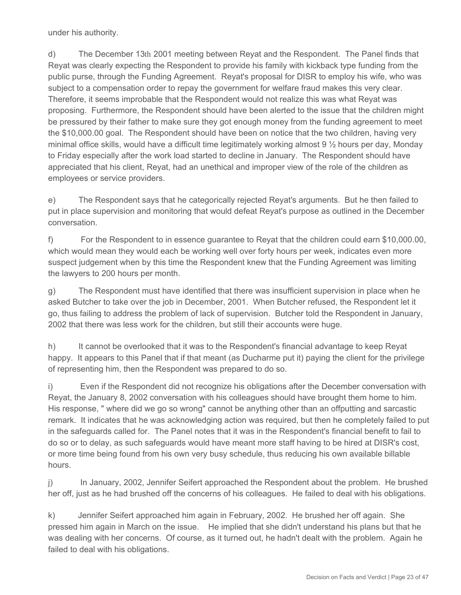under his authority.

d) The December 13th 2001 meeting between Reyat and the Respondent. The Panel finds that Reyat was clearly expecting the Respondent to provide his family with kickback type funding from the public purse, through the Funding Agreement. Reyat's proposal for DISR to employ his wife, who was subject to a compensation order to repay the government for welfare fraud makes this very clear. Therefore, it seems improbable that the Respondent would not realize this was what Reyat was proposing. Furthermore, the Respondent should have been alerted to the issue that the children might be pressured by their father to make sure they got enough money from the funding agreement to meet the \$10,000.00 goal. The Respondent should have been on notice that the two children, having very minimal office skills, would have a difficult time legitimately working almost 9 ½ hours per day, Monday to Friday especially after the work load started to decline in January. The Respondent should have appreciated that his client, Reyat, had an unethical and improper view of the role of the children as employees or service providers.

e) The Respondent says that he categorically rejected Reyat's arguments. But he then failed to put in place supervision and monitoring that would defeat Reyat's purpose as outlined in the December conversation.

f) For the Respondent to in essence guarantee to Reyat that the children could earn \$10,000.00, which would mean they would each be working well over forty hours per week, indicates even more suspect judgement when by this time the Respondent knew that the Funding Agreement was limiting the lawyers to 200 hours per month.

g) The Respondent must have identified that there was insufficient supervision in place when he asked Butcher to take over the job in December, 2001. When Butcher refused, the Respondent let it go, thus failing to address the problem of lack of supervision. Butcher told the Respondent in January, 2002 that there was less work for the children, but still their accounts were huge.

h) It cannot be overlooked that it was to the Respondent's financial advantage to keep Reyat happy. It appears to this Panel that if that meant (as Ducharme put it) paying the client for the privilege of representing him, then the Respondent was prepared to do so.

i) Even if the Respondent did not recognize his obligations after the December conversation with Reyat, the January 8, 2002 conversation with his colleagues should have brought them home to him. His response, " where did we go so wrong" cannot be anything other than an offputting and sarcastic remark. It indicates that he was acknowledging action was required, but then he completely failed to put in the safeguards called for. The Panel notes that it was in the Respondent's financial benefit to fail to do so or to delay, as such safeguards would have meant more staff having to be hired at DISR's cost, or more time being found from his own very busy schedule, thus reducing his own available billable hours.

j) In January, 2002, Jennifer Seifert approached the Respondent about the problem. He brushed her off, just as he had brushed off the concerns of his colleagues. He failed to deal with his obligations.

k) Jennifer Seifert approached him again in February, 2002. He brushed her off again. She pressed him again in March on the issue. He implied that she didn't understand his plans but that he was dealing with her concerns. Of course, as it turned out, he hadn't dealt with the problem. Again he failed to deal with his obligations.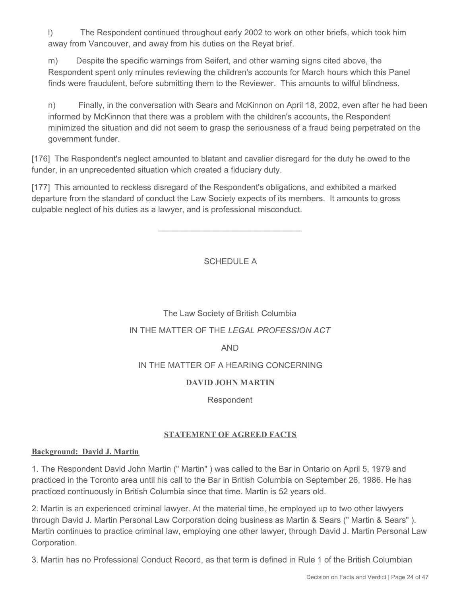l) The Respondent continued throughout early 2002 to work on other briefs, which took him away from Vancouver, and away from his duties on the Reyat brief.

m) Despite the specific warnings from Seifert, and other warning signs cited above, the Respondent spent only minutes reviewing the children's accounts for March hours which this Panel finds were fraudulent, before submitting them to the Reviewer. This amounts to wilful blindness.

n) Finally, in the conversation with Sears and McKinnon on April 18, 2002, even after he had been informed by McKinnon that there was a problem with the children's accounts, the Respondent minimized the situation and did not seem to grasp the seriousness of a fraud being perpetrated on the government funder.

[176] The Respondent's neglect amounted to blatant and cavalier disregard for the duty he owed to the funder, in an unprecedented situation which created a fiduciary duty.

[177] This amounted to reckless disregard of the Respondent's obligations, and exhibited a marked departure from the standard of conduct the Law Society expects of its members. It amounts to gross culpable neglect of his duties as a lawyer, and is professional misconduct.

## SCHEDULE A

\_\_\_\_\_\_\_\_\_\_\_\_\_\_\_\_\_\_\_\_\_\_\_\_\_\_\_\_\_\_\_

# The Law Society of British Columbia IN THE MATTER OF THE *LEGAL PROFESSION ACT* AND IN THE MATTER OF A HEARING CONCERNING

## **DAVID JOHN MARTIN**

Respondent

#### **STATEMENT OF AGREED FACTS**

#### **Background: David J. Martin**

1. The Respondent David John Martin (" Martin" ) was called to the Bar in Ontario on April 5, 1979 and practiced in the Toronto area until his call to the Bar in British Columbia on September 26, 1986. He has practiced continuously in British Columbia since that time. Martin is 52 years old.

2. Martin is an experienced criminal lawyer. At the material time, he employed up to two other lawyers through David J. Martin Personal Law Corporation doing business as Martin & Sears (" Martin & Sears" ). Martin continues to practice criminal law, employing one other lawyer, through David J. Martin Personal Law Corporation.

3. Martin has no Professional Conduct Record, as that term is defined in Rule 1 of the British Columbian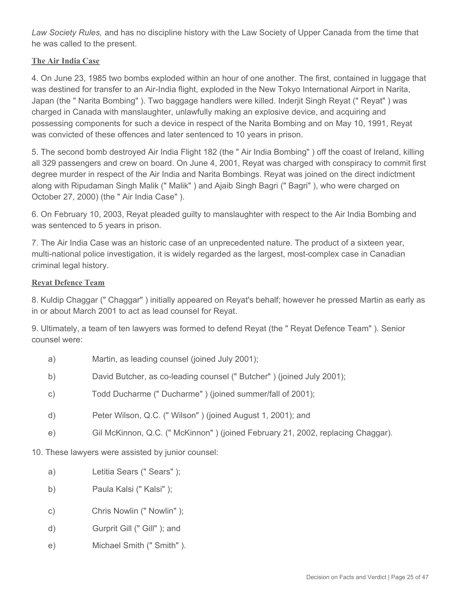*Law Society Rules,* and has no discipline history with the Law Society of Upper Canada from the time that he was called to the present.

#### **The Air India Case**

4. On June 23, 1985 two bombs exploded within an hour of one another. The first, contained in luggage that was destined for transfer to an Air-India flight, exploded in the New Tokyo International Airport in Narita, Japan (the " Narita Bombing" ). Two baggage handlers were killed. Inderjit Singh Reyat (" Reyat" ) was charged in Canada with manslaughter, unlawfully making an explosive device, and acquiring and possessing components for such a device in respect of the Narita Bombing and on May 10, 1991, Reyat was convicted of these offences and later sentenced to 10 years in prison.

5. The second bomb destroyed Air India Flight 182 (the " Air India Bombing" ) off the coast of Ireland, killing all 329 passengers and crew on board. On June 4, 2001, Reyat was charged with conspiracy to commit first degree murder in respect of the Air India and Narita Bombings. Reyat was joined on the direct indictment along with Ripudaman Singh Malik (" Malik" ) and Ajaib Singh Bagri (" Bagri" ), who were charged on October 27, 2000) (the " Air India Case" ).

6. On February 10, 2003, Reyat pleaded guilty to manslaughter with respect to the Air India Bombing and was sentenced to 5 years in prison.

7. The Air India Case was an historic case of an unprecedented nature. The product of a sixteen year, multi-national police investigation, it is widely regarded as the largest, most-complex case in Canadian criminal legal history.

#### **Reyat Defence Team**

8. Kuldip Chaggar (" Chaggar" ) initially appeared on Reyat's behalf; however he pressed Martin as early as in or about March 2001 to act as lead counsel for Reyat.

9. Ultimately, a team of ten lawyers was formed to defend Reyat (the " Reyat Defence Team" ). Senior counsel were:

- a) Martin, as leading counsel (joined July 2001);
- b) David Butcher, as co-leading counsel (" Butcher" ) (joined July 2001);
- c) Todd Ducharme (" Ducharme" ) (joined summer/fall of 2001);
- d) Peter Wilson, Q.C. (" Wilson" ) (joined August 1, 2001); and
- e) Gil McKinnon, Q.C. (" McKinnon" ) (joined February 21, 2002, replacing Chaggar).

10. These lawyers were assisted by junior counsel:

- a) Letitia Sears (" Sears" );
- b) Paula Kalsi (" Kalsi" );
- c) Chris Nowlin (" Nowlin" );
- d) Gurprit Gill (" Gill" ); and
- e) Michael Smith (" Smith" ).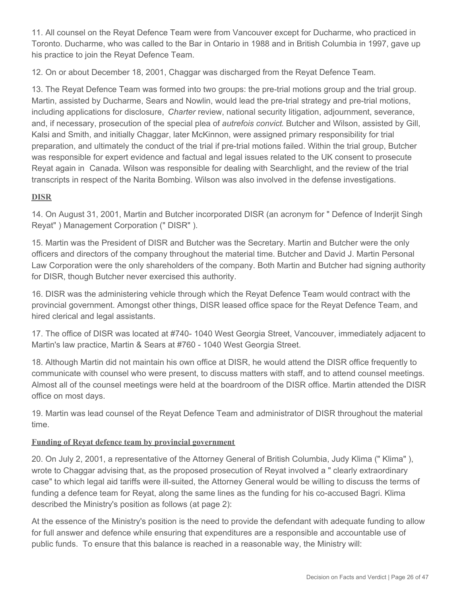11. All counsel on the Reyat Defence Team were from Vancouver except for Ducharme, who practiced in Toronto. Ducharme, who was called to the Bar in Ontario in 1988 and in British Columbia in 1997, gave up his practice to join the Reyat Defence Team.

12. On or about December 18, 2001, Chaggar was discharged from the Reyat Defence Team.

13. The Reyat Defence Team was formed into two groups: the pre-trial motions group and the trial group. Martin, assisted by Ducharme, Sears and Nowlin, would lead the pre-trial strategy and pre-trial motions, including applications for disclosure, *Charter* review, national security litigation, adjournment, severance, and, if necessary, prosecution of the special plea of *autrefois convict*. Butcher and Wilson, assisted by Gill, Kalsi and Smith, and initially Chaggar, later McKinnon, were assigned primary responsibility for trial preparation, and ultimately the conduct of the trial if pre-trial motions failed. Within the trial group, Butcher was responsible for expert evidence and factual and legal issues related to the UK consent to prosecute Reyat again in Canada. Wilson was responsible for dealing with Searchlight, and the review of the trial transcripts in respect of the Narita Bombing. Wilson was also involved in the defense investigations.

## **DISR**

14. On August 31, 2001, Martin and Butcher incorporated DISR (an acronym for " Defence of Inderjit Singh Reyat" ) Management Corporation (" DISR" ).

15. Martin was the President of DISR and Butcher was the Secretary. Martin and Butcher were the only officers and directors of the company throughout the material time. Butcher and David J. Martin Personal Law Corporation were the only shareholders of the company. Both Martin and Butcher had signing authority for DISR, though Butcher never exercised this authority.

16. DISR was the administering vehicle through which the Reyat Defence Team would contract with the provincial government. Amongst other things, DISR leased office space for the Reyat Defence Team, and hired clerical and legal assistants.

17. The office of DISR was located at #740- 1040 West Georgia Street, Vancouver, immediately adjacent to Martin's law practice, Martin & Sears at #760 - 1040 West Georgia Street.

18. Although Martin did not maintain his own office at DISR, he would attend the DISR office frequently to communicate with counsel who were present, to discuss matters with staff, and to attend counsel meetings. Almost all of the counsel meetings were held at the boardroom of the DISR office. Martin attended the DISR office on most days.

19. Martin was lead counsel of the Reyat Defence Team and administrator of DISR throughout the material time.

## **Funding of Reyat defence team by provincial government**

20. On July 2, 2001, a representative of the Attorney General of British Columbia, Judy Klima (" Klima" ), wrote to Chaggar advising that, as the proposed prosecution of Reyat involved a " clearly extraordinary case" to which legal aid tariffs were ill-suited, the Attorney General would be willing to discuss the terms of funding a defence team for Reyat, along the same lines as the funding for his co-accused Bagri. Klima described the Ministry's position as follows (at page 2):

At the essence of the Ministry's position is the need to provide the defendant with adequate funding to allow for full answer and defence while ensuring that expenditures are a responsible and accountable use of public funds. To ensure that this balance is reached in a reasonable way, the Ministry will: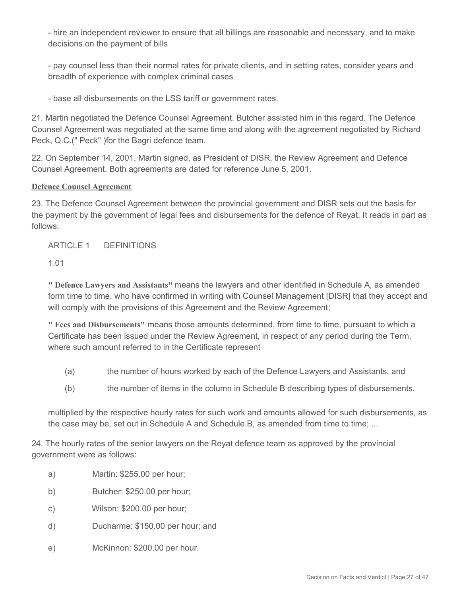- hire an independent reviewer to ensure that all billings are reasonable and necessary, and to make decisions on the payment of bills

- pay counsel less than their normal rates for private clients, and in setting rates, consider years and breadth of experience with complex criminal cases

- base all disbursements on the LSS tariff or government rates.

21. Martin negotiated the Defence Counsel Agreement. Butcher assisted him in this regard. The Defence Counsel Agreement was negotiated at the same time and along with the agreement negotiated by Richard Peck, Q.C.(" Peck" )for the Bagri defence team.

22. On September 14, 2001, Martin signed, as President of DISR, the Review Agreement and Defence Counsel Agreement. Both agreements are dated for reference June 5, 2001.

#### **Defence Counsel Agreement**

23. The Defence Counsel Agreement between the provincial government and DISR sets out the basis for the payment by the government of legal fees and disbursements for the defence of Reyat. It reads in part as follows:

ARTICLE 1 DEFINITIONS

1.01

**" Defence Lawyers and Assistants"** means the lawyers and other identified in Schedule A, as amended form time to time, who have confirmed in writing with Counsel Management [DISR] that they accept and will comply with the provisions of this Agreement and the Review Agreement;

**" Fees and Disbursements"** means those amounts determined, from time to time, pursuant to which a Certificate has been issued under the Review Agreement, in respect of any period during the Term, where such amount referred to in the Certificate represent

- (a) the number of hours worked by each of the Defence Lawyers and Assistants, and
- (b) the number of items in the column in Schedule B describing types of disbursements,

multiplied by the respective hourly rates for such work and amounts allowed for such disbursements, as the case may be, set out in Schedule A and Schedule B, as amended from time to time; ...

24. The hourly rates of the senior lawyers on the Reyat defence team as approved by the provincial government were as follows:

- a) Martin: \$255.00 per hour;
- b) Butcher: \$250.00 per hour;
- c) Wilson: \$200.00 per hour;
- d) Ducharme: \$150.00 per hour; and
- e) McKinnon: \$200.00 per hour.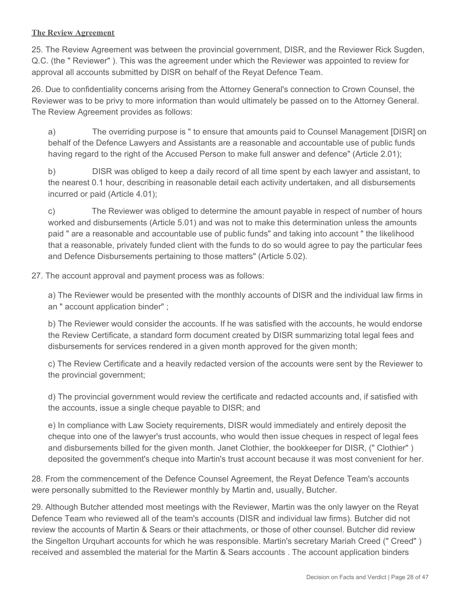#### **The Review Agreement**

25. The Review Agreement was between the provincial government, DISR, and the Reviewer Rick Sugden, Q.C. (the " Reviewer" ). This was the agreement under which the Reviewer was appointed to review for approval all accounts submitted by DISR on behalf of the Reyat Defence Team.

26. Due to confidentiality concerns arising from the Attorney General's connection to Crown Counsel, the Reviewer was to be privy to more information than would ultimately be passed on to the Attorney General. The Review Agreement provides as follows:

a) The overriding purpose is " to ensure that amounts paid to Counsel Management [DISR] on behalf of the Defence Lawyers and Assistants are a reasonable and accountable use of public funds having regard to the right of the Accused Person to make full answer and defence" (Article 2.01);

b) DISR was obliged to keep a daily record of all time spent by each lawyer and assistant, to the nearest 0.1 hour, describing in reasonable detail each activity undertaken, and all disbursements incurred or paid (Article 4.01);

c) The Reviewer was obliged to determine the amount payable in respect of number of hours worked and disbursements (Article 5.01) and was not to make this determination unless the amounts paid " are a reasonable and accountable use of public funds" and taking into account " the likelihood that a reasonable, privately funded client with the funds to do so would agree to pay the particular fees and Defence Disbursements pertaining to those matters" (Article 5.02).

27. The account approval and payment process was as follows:

a) The Reviewer would be presented with the monthly accounts of DISR and the individual law firms in an " account application binder" ;

b) The Reviewer would consider the accounts. If he was satisfied with the accounts, he would endorse the Review Certificate, a standard form document created by DISR summarizing total legal fees and disbursements for services rendered in a given month approved for the given month;

c) The Review Certificate and a heavily redacted version of the accounts were sent by the Reviewer to the provincial government;

d) The provincial government would review the certificate and redacted accounts and, if satisfied with the accounts, issue a single cheque payable to DISR; and

e) In compliance with Law Society requirements, DISR would immediately and entirely deposit the cheque into one of the lawyer's trust accounts, who would then issue cheques in respect of legal fees and disbursements billed for the given month. Janet Clothier, the bookkeeper for DISR, (" Clothier" ) deposited the government's cheque into Martin's trust account because it was most convenient for her.

28. From the commencement of the Defence Counsel Agreement, the Reyat Defence Team's accounts were personally submitted to the Reviewer monthly by Martin and, usually, Butcher.

29. Although Butcher attended most meetings with the Reviewer, Martin was the only lawyer on the Reyat Defence Team who reviewed all of the team's accounts (DISR and individual law firms). Butcher did not review the accounts of Martin & Sears or their attachments, or those of other counsel. Butcher did review the Singelton Urquhart accounts for which he was responsible. Martin's secretary Mariah Creed (" Creed" ) received and assembled the material for the Martin & Sears accounts . The account application binders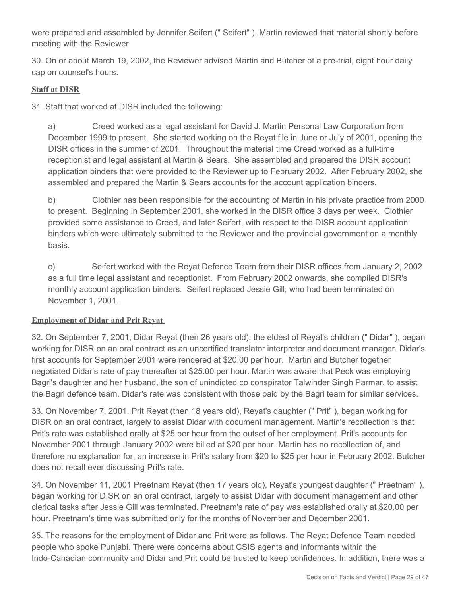were prepared and assembled by Jennifer Seifert (" Seifert" ). Martin reviewed that material shortly before meeting with the Reviewer.

30. On or about March 19, 2002, the Reviewer advised Martin and Butcher of a pre-trial, eight hour daily cap on counsel's hours.

#### **Staff at DISR**

31. Staff that worked at DISR included the following:

a) Creed worked as a legal assistant for David J. Martin Personal Law Corporation from December 1999 to present. She started working on the Reyat file in June or July of 2001, opening the DISR offices in the summer of 2001. Throughout the material time Creed worked as a full-time receptionist and legal assistant at Martin & Sears. She assembled and prepared the DISR account application binders that were provided to the Reviewer up to February 2002. After February 2002, she assembled and prepared the Martin & Sears accounts for the account application binders.

b) Clothier has been responsible for the accounting of Martin in his private practice from 2000 to present. Beginning in September 2001, she worked in the DISR office 3 days per week. Clothier provided some assistance to Creed, and later Seifert, with respect to the DISR account application binders which were ultimately submitted to the Reviewer and the provincial government on a monthly basis.

c) Seifert worked with the Reyat Defence Team from their DISR offices from January 2, 2002 as a full time legal assistant and receptionist. From February 2002 onwards, she compiled DISR's monthly account application binders. Seifert replaced Jessie Gill, who had been terminated on November 1, 2001.

## **Employment of Didar and Prit Reyat**

32. On September 7, 2001, Didar Reyat (then 26 years old), the eldest of Reyat's children (" Didar" ), began working for DISR on an oral contract as an uncertified translator interpreter and document manager. Didar's first accounts for September 2001 were rendered at \$20.00 per hour. Martin and Butcher together negotiated Didar's rate of pay thereafter at \$25.00 per hour. Martin was aware that Peck was employing Bagri's daughter and her husband, the son of unindicted co conspirator Talwinder Singh Parmar, to assist the Bagri defence team. Didar's rate was consistent with those paid by the Bagri team for similar services.

33. On November 7, 2001, Prit Reyat (then 18 years old), Reyat's daughter (" Prit" ), began working for DISR on an oral contract, largely to assist Didar with document management. Martin's recollection is that Prit's rate was established orally at \$25 per hour from the outset of her employment. Prit's accounts for November 2001 through January 2002 were billed at \$20 per hour. Martin has no recollection of, and therefore no explanation for, an increase in Prit's salary from \$20 to \$25 per hour in February 2002. Butcher does not recall ever discussing Prit's rate.

34. On November 11, 2001 Preetnam Reyat (then 17 years old), Reyat's youngest daughter (" Preetnam" ), began working for DISR on an oral contract, largely to assist Didar with document management and other clerical tasks after Jessie Gill was terminated. Preetnam's rate of pay was established orally at \$20.00 per hour. Preetnam's time was submitted only for the months of November and December 2001.

35. The reasons for the employment of Didar and Prit were as follows. The Reyat Defence Team needed people who spoke Punjabi. There were concerns about CSIS agents and informants within the Indo-Canadian community and Didar and Prit could be trusted to keep confidences. In addition, there was a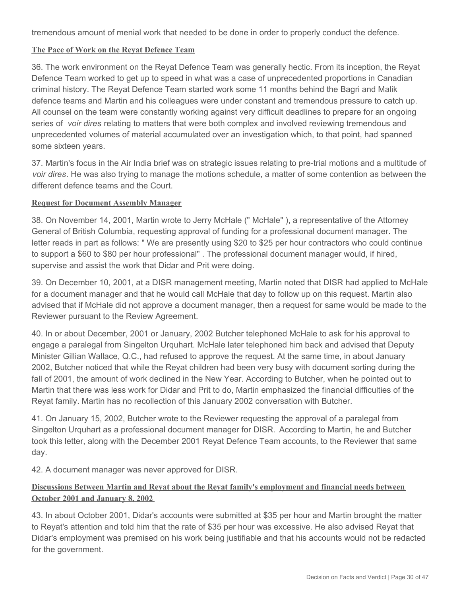tremendous amount of menial work that needed to be done in order to properly conduct the defence.

#### **The Pace of Work on the Reyat Defence Team**

36. The work environment on the Reyat Defence Team was generally hectic. From its inception, the Reyat Defence Team worked to get up to speed in what was a case of unprecedented proportions in Canadian criminal history. The Reyat Defence Team started work some 11 months behind the Bagri and Malik defence teams and Martin and his colleagues were under constant and tremendous pressure to catch up. All counsel on the team were constantly working against very difficult deadlines to prepare for an ongoing series of *voir dires* relating to matters that were both complex and involved reviewing tremendous and unprecedented volumes of material accumulated over an investigation which, to that point, had spanned some sixteen years.

37. Martin's focus in the Air India brief was on strategic issues relating to pre-trial motions and a multitude of *voir dires*. He was also trying to manage the motions schedule, a matter of some contention as between the different defence teams and the Court.

#### **Request for Document Assembly Manager**

38. On November 14, 2001, Martin wrote to Jerry McHale (" McHale" ), a representative of the Attorney General of British Columbia, requesting approval of funding for a professional document manager. The letter reads in part as follows: " We are presently using \$20 to \$25 per hour contractors who could continue to support a \$60 to \$80 per hour professional" . The professional document manager would, if hired, supervise and assist the work that Didar and Prit were doing.

39. On December 10, 2001, at a DISR management meeting, Martin noted that DISR had applied to McHale for a document manager and that he would call McHale that day to follow up on this request. Martin also advised that if McHale did not approve a document manager, then a request for same would be made to the Reviewer pursuant to the Review Agreement.

40. In or about December, 2001 or January, 2002 Butcher telephoned McHale to ask for his approval to engage a paralegal from Singelton Urquhart. McHale later telephoned him back and advised that Deputy Minister Gillian Wallace, Q.C., had refused to approve the request. At the same time, in about January 2002, Butcher noticed that while the Reyat children had been very busy with document sorting during the fall of 2001, the amount of work declined in the New Year. According to Butcher, when he pointed out to Martin that there was less work for Didar and Prit to do, Martin emphasized the financial difficulties of the Reyat family. Martin has no recollection of this January 2002 conversation with Butcher.

41. On January 15, 2002, Butcher wrote to the Reviewer requesting the approval of a paralegal from Singelton Urquhart as a professional document manager for DISR. According to Martin, he and Butcher took this letter, along with the December 2001 Reyat Defence Team accounts, to the Reviewer that same day.

42. A document manager was never approved for DISR.

#### **Discussions Between Martin and Reyat about the Reyat family's employment and financial needs between October 2001 and January 8, 2002**

43. In about October 2001, Didar's accounts were submitted at \$35 per hour and Martin brought the matter to Reyat's attention and told him that the rate of \$35 per hour was excessive. He also advised Reyat that Didar's employment was premised on his work being justifiable and that his accounts would not be redacted for the government.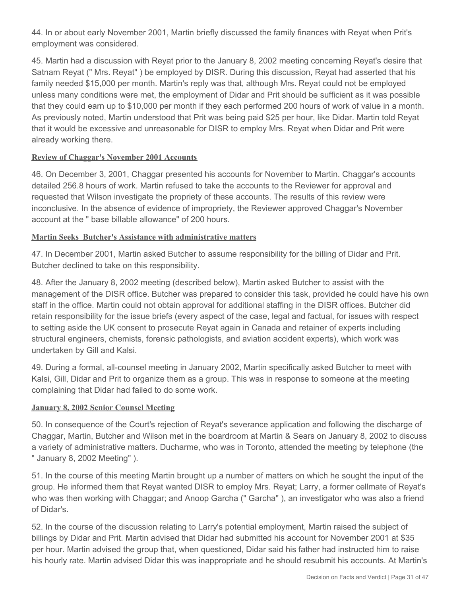44. In or about early November 2001, Martin briefly discussed the family finances with Reyat when Prit's employment was considered.

45. Martin had a discussion with Reyat prior to the January 8, 2002 meeting concerning Reyat's desire that Satnam Reyat (" Mrs. Reyat" ) be employed by DISR. During this discussion, Reyat had asserted that his family needed \$15,000 per month. Martin's reply was that, although Mrs. Reyat could not be employed unless many conditions were met, the employment of Didar and Prit should be sufficient as it was possible that they could earn up to \$10,000 per month if they each performed 200 hours of work of value in a month. As previously noted, Martin understood that Prit was being paid \$25 per hour, like Didar. Martin told Reyat that it would be excessive and unreasonable for DISR to employ Mrs. Reyat when Didar and Prit were already working there.

#### **Review of Chaggar's November 2001 Accounts**

46. On December 3, 2001, Chaggar presented his accounts for November to Martin. Chaggar's accounts detailed 256.8 hours of work. Martin refused to take the accounts to the Reviewer for approval and requested that Wilson investigate the propriety of these accounts. The results of this review were inconclusive. In the absence of evidence of impropriety, the Reviewer approved Chaggar's November account at the " base billable allowance" of 200 hours.

#### **Martin Seeks Butcher's Assistance with administrative matters**

47. In December 2001, Martin asked Butcher to assume responsibility for the billing of Didar and Prit. Butcher declined to take on this responsibility.

48. After the January 8, 2002 meeting (described below), Martin asked Butcher to assist with the management of the DISR office. Butcher was prepared to consider this task, provided he could have his own staff in the office. Martin could not obtain approval for additional staffing in the DISR offices. Butcher did retain responsibility for the issue briefs (every aspect of the case, legal and factual, for issues with respect to setting aside the UK consent to prosecute Reyat again in Canada and retainer of experts including structural engineers, chemists, forensic pathologists, and aviation accident experts), which work was undertaken by Gill and Kalsi.

49. During a formal, all-counsel meeting in January 2002, Martin specifically asked Butcher to meet with Kalsi, Gill, Didar and Prit to organize them as a group. This was in response to someone at the meeting complaining that Didar had failed to do some work.

#### **January 8, 2002 Senior Counsel Meeting**

50. In consequence of the Court's rejection of Reyat's severance application and following the discharge of Chaggar, Martin, Butcher and Wilson met in the boardroom at Martin & Sears on January 8, 2002 to discuss a variety of administrative matters. Ducharme, who was in Toronto, attended the meeting by telephone (the " January 8, 2002 Meeting" ).

51. In the course of this meeting Martin brought up a number of matters on which he sought the input of the group. He informed them that Reyat wanted DISR to employ Mrs. Reyat; Larry, a former cellmate of Reyat's who was then working with Chaggar; and Anoop Garcha (" Garcha" ), an investigator who was also a friend of Didar's.

52. In the course of the discussion relating to Larry's potential employment, Martin raised the subject of billings by Didar and Prit. Martin advised that Didar had submitted his account for November 2001 at \$35 per hour. Martin advised the group that, when questioned, Didar said his father had instructed him to raise his hourly rate. Martin advised Didar this was inappropriate and he should resubmit his accounts. At Martin's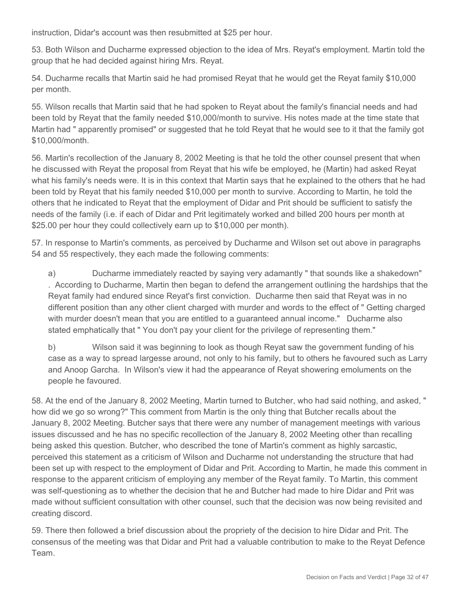instruction, Didar's account was then resubmitted at \$25 per hour.

53. Both Wilson and Ducharme expressed objection to the idea of Mrs. Reyat's employment. Martin told the group that he had decided against hiring Mrs. Reyat.

54. Ducharme recalls that Martin said he had promised Reyat that he would get the Reyat family \$10,000 per month.

55. Wilson recalls that Martin said that he had spoken to Reyat about the family's financial needs and had been told by Reyat that the family needed \$10,000/month to survive. His notes made at the time state that Martin had " apparently promised" or suggested that he told Reyat that he would see to it that the family got \$10,000/month.

56. Martin's recollection of the January 8, 2002 Meeting is that he told the other counsel present that when he discussed with Reyat the proposal from Reyat that his wife be employed, he (Martin) had asked Reyat what his family's needs were. It is in this context that Martin says that he explained to the others that he had been told by Reyat that his family needed \$10,000 per month to survive. According to Martin, he told the others that he indicated to Reyat that the employment of Didar and Prit should be sufficient to satisfy the needs of the family (i.e. if each of Didar and Prit legitimately worked and billed 200 hours per month at \$25.00 per hour they could collectively earn up to \$10,000 per month).

57. In response to Martin's comments, as perceived by Ducharme and Wilson set out above in paragraphs 54 and 55 respectively, they each made the following comments:

a) Ducharme immediately reacted by saying very adamantly " that sounds like a shakedown" . According to Ducharme, Martin then began to defend the arrangement outlining the hardships that the Reyat family had endured since Reyat's first conviction. Ducharme then said that Reyat was in no different position than any other client charged with murder and words to the effect of " Getting charged with murder doesn't mean that you are entitled to a guaranteed annual income." Ducharme also stated emphatically that " You don't pay your client for the privilege of representing them."

b) Wilson said it was beginning to look as though Reyat saw the government funding of his case as a way to spread largesse around, not only to his family, but to others he favoured such as Larry and Anoop Garcha. In Wilson's view it had the appearance of Reyat showering emoluments on the people he favoured.

58. At the end of the January 8, 2002 Meeting, Martin turned to Butcher, who had said nothing, and asked, " how did we go so wrong?" This comment from Martin is the only thing that Butcher recalls about the January 8, 2002 Meeting. Butcher says that there were any number of management meetings with various issues discussed and he has no specific recollection of the January 8, 2002 Meeting other than recalling being asked this question. Butcher, who described the tone of Martin's comment as highly sarcastic, perceived this statement as a criticism of Wilson and Ducharme not understanding the structure that had been set up with respect to the employment of Didar and Prit. According to Martin, he made this comment in response to the apparent criticism of employing any member of the Reyat family. To Martin, this comment was self-questioning as to whether the decision that he and Butcher had made to hire Didar and Prit was made without sufficient consultation with other counsel, such that the decision was now being revisited and creating discord.

59. There then followed a brief discussion about the propriety of the decision to hire Didar and Prit. The consensus of the meeting was that Didar and Prit had a valuable contribution to make to the Reyat Defence Team.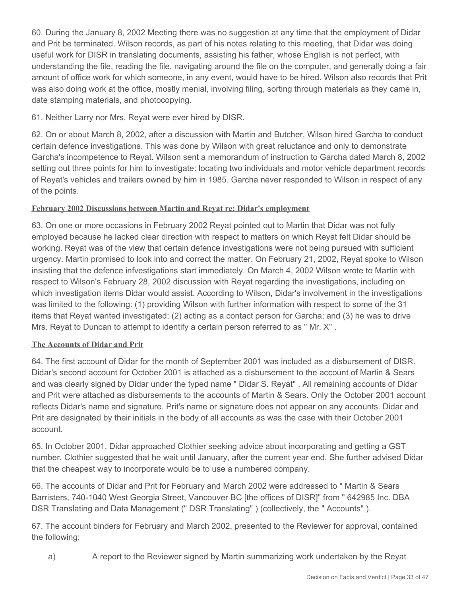60. During the January 8, 2002 Meeting there was no suggestion at any time that the employment of Didar and Prit be terminated. Wilson records, as part of his notes relating to this meeting, that Didar was doing useful work for DISR in translating documents, assisting his father, whose English is not perfect, with understanding the file, reading the file, navigating around the file on the computer, and generally doing a fair amount of office work for which someone, in any event, would have to be hired. Wilson also records that Prit was also doing work at the office, mostly menial, involving filing, sorting through materials as they came in, date stamping materials, and photocopying.

## 61. Neither Larry nor Mrs. Reyat were ever hired by DISR.

62. On or about March 8, 2002, after a discussion with Martin and Butcher, Wilson hired Garcha to conduct certain defence investigations. This was done by Wilson with great reluctance and only to demonstrate Garcha's incompetence to Reyat. Wilson sent a memorandum of instruction to Garcha dated March 8, 2002 setting out three points for him to investigate: locating two individuals and motor vehicle department records of Reyat's vehicles and trailers owned by him in 1985. Garcha never responded to Wilson in respect of any of the points.

#### **February 2002 Discussions between Martin and Reyat re: Didar's employment**

63. On one or more occasions in February 2002 Reyat pointed out to Martin that Didar was not fully employed because he lacked clear direction with respect to matters on which Reyat felt Didar should be working. Reyat was of the view that certain defence investigations were not being pursued with sufficient urgency. Martin promised to look into and correct the matter. On February 21, 2002, Reyat spoke to Wilson insisting that the defence infvestigations start immediately. On March 4, 2002 Wilson wrote to Martin with respect to Wilson's February 28, 2002 discussion with Reyat regarding the investigations, including on which investigation items Didar would assist. According to Wilson, Didar's involvement in the investigations was limited to the following: (1) providing Wilson with further information with respect to some of the 31 items that Reyat wanted investigated; (2) acting as a contact person for Garcha; and (3) he was to drive Mrs. Reyat to Duncan to attempt to identify a certain person referred to as " Mr. X" .

#### **The Accounts of Didar and Prit**

64. The first account of Didar for the month of September 2001 was included as a disbursement of DISR. Didar's second account for October 2001 is attached as a disbursement to the account of Martin & Sears and was clearly signed by Didar under the typed name " Didar S. Reyat" . All remaining accounts of Didar and Prit were attached as disbursements to the accounts of Martin & Sears. Only the October 2001 account reflects Didar's name and signature. Prit's name or signature does not appear on any accounts. Didar and Prit are designated by their initials in the body of all accounts as was the case with their October 2001 account.

65. In October 2001, Didar approached Clothier seeking advice about incorporating and getting a GST number. Clothier suggested that he wait until January, after the current year end. She further advised Didar that the cheapest way to incorporate would be to use a numbered company.

66. The accounts of Didar and Prit for February and March 2002 were addressed to " Martin & Sears Barristers, 740-1040 West Georgia Street, Vancouver BC [the offices of DISR]" from " 642985 Inc. DBA DSR Translating and Data Management (" DSR Translating" ) (collectively, the " Accounts" ).

67. The account binders for February and March 2002, presented to the Reviewer for approval, contained the following:

a) A report to the Reviewer signed by Martin summarizing work undertaken by the Reyat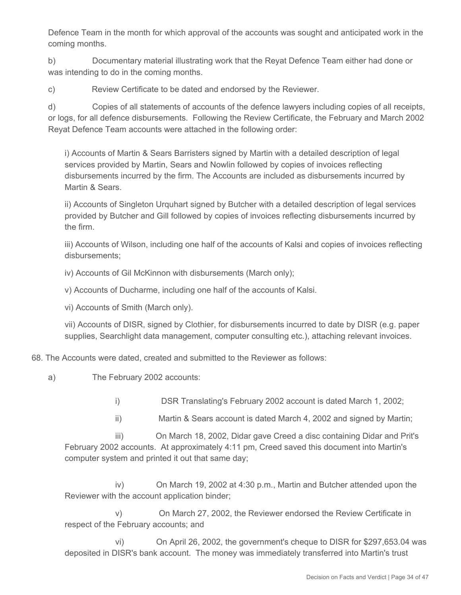Defence Team in the month for which approval of the accounts was sought and anticipated work in the coming months.

b) Documentary material illustrating work that the Reyat Defence Team either had done or was intending to do in the coming months.

c) Review Certificate to be dated and endorsed by the Reviewer.

d) Copies of all statements of accounts of the defence lawyers including copies of all receipts, or logs, for all defence disbursements. Following the Review Certificate, the February and March 2002 Reyat Defence Team accounts were attached in the following order:

i) Accounts of Martin & Sears Barristers signed by Martin with a detailed description of legal services provided by Martin, Sears and Nowlin followed by copies of invoices reflecting disbursements incurred by the firm. The Accounts are included as disbursements incurred by Martin & Sears.

ii) Accounts of Singleton Urquhart signed by Butcher with a detailed description of legal services provided by Butcher and Gill followed by copies of invoices reflecting disbursements incurred by the firm.

iii) Accounts of Wilson, including one half of the accounts of Kalsi and copies of invoices reflecting disbursements;

iv) Accounts of Gil McKinnon with disbursements (March only);

v) Accounts of Ducharme, including one half of the accounts of Kalsi.

vi) Accounts of Smith (March only).

vii) Accounts of DISR, signed by Clothier, for disbursements incurred to date by DISR (e.g. paper supplies, Searchlight data management, computer consulting etc.), attaching relevant invoices.

68. The Accounts were dated, created and submitted to the Reviewer as follows:

a) The February 2002 accounts:

i) DSR Translating's February 2002 account is dated March 1, 2002;

ii) Martin & Sears account is dated March 4, 2002 and signed by Martin;

 iii) On March 18, 2002, Didar gave Creed a disc containing Didar and Prit's February 2002 accounts. At approximately 4:11 pm, Creed saved this document into Martin's computer system and printed it out that same day;

 iv) On March 19, 2002 at 4:30 p.m., Martin and Butcher attended upon the Reviewer with the account application binder;

 v) On March 27, 2002, the Reviewer endorsed the Review Certificate in respect of the February accounts; and

 vi) On April 26, 2002, the government's cheque to DISR for \$297,653.04 was deposited in DISR's bank account. The money was immediately transferred into Martin's trust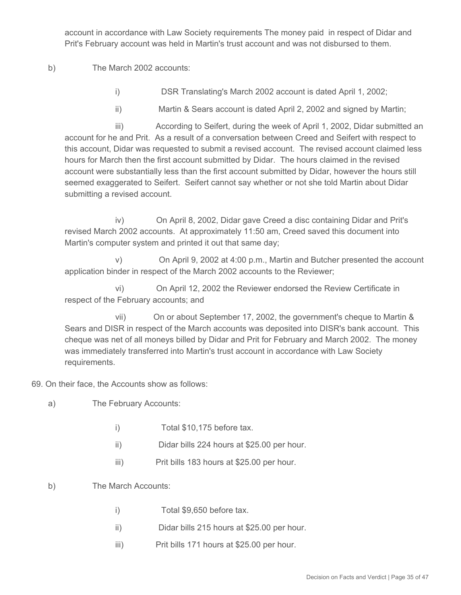account in accordance with Law Society requirements The money paid in respect of Didar and Prit's February account was held in Martin's trust account and was not disbursed to them.

b) The March 2002 accounts:

- i) DSR Translating's March 2002 account is dated April 1, 2002;
- ii) Martin & Sears account is dated April 2, 2002 and signed by Martin;

 iii) According to Seifert, during the week of April 1, 2002, Didar submitted an account for he and Prit. As a result of a conversation between Creed and Seifert with respect to this account, Didar was requested to submit a revised account. The revised account claimed less hours for March then the first account submitted by Didar. The hours claimed in the revised account were substantially less than the first account submitted by Didar, however the hours still seemed exaggerated to Seifert. Seifert cannot say whether or not she told Martin about Didar submitting a revised account.

 iv) On April 8, 2002, Didar gave Creed a disc containing Didar and Prit's revised March 2002 accounts. At approximately 11:50 am, Creed saved this document into Martin's computer system and printed it out that same day;

 v) On April 9, 2002 at 4:00 p.m., Martin and Butcher presented the account application binder in respect of the March 2002 accounts to the Reviewer;

 vi) On April 12, 2002 the Reviewer endorsed the Review Certificate in respect of the February accounts; and

 vii) On or about September 17, 2002, the government's cheque to Martin & Sears and DISR in respect of the March accounts was deposited into DISR's bank account. This cheque was net of all moneys billed by Didar and Prit for February and March 2002. The money was immediately transferred into Martin's trust account in accordance with Law Society requirements.

69. On their face, the Accounts show as follows:

- a) The February Accounts:
	- i) Total \$10,175 before tax.
	- ii) Didar bills 224 hours at \$25.00 per hour.
	- iii) Prit bills 183 hours at \$25.00 per hour.
- b) The March Accounts:
	- i) Total \$9,650 before tax.
	- ii) Didar bills 215 hours at \$25.00 per hour.
	- iii) Prit bills 171 hours at \$25.00 per hour.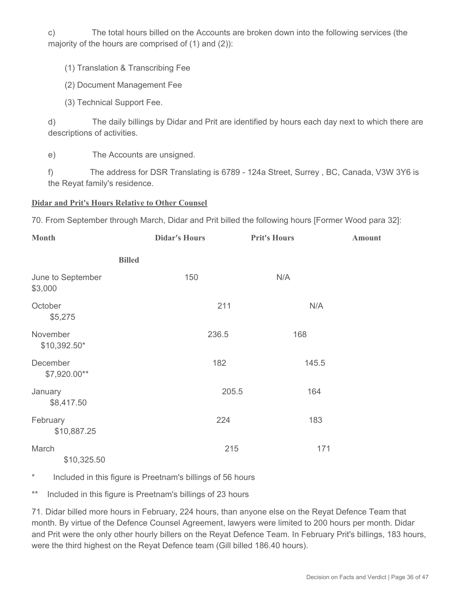c) The total hours billed on the Accounts are broken down into the following services (the majority of the hours are comprised of (1) and (2)):

(1) Translation & Transcribing Fee

(2) Document Management Fee

(3) Technical Support Fee.

d) The daily billings by Didar and Prit are identified by hours each day next to which there are descriptions of activities.

e) The Accounts are unsigned.

f) The address for DSR Translating is 6789 - 124a Street, Surrey , BC, Canada, V3W 3Y6 is the Reyat family's residence.

#### **Didar and Prit's Hours Relative to Other Counsel**

70. From September through March, Didar and Prit billed the following hours [Former Wood para 32]:

| <b>Month</b>                 | <b>Didar's Hours</b> |       | <b>Prit's Hours</b> | <b>Amount</b> |
|------------------------------|----------------------|-------|---------------------|---------------|
|                              | <b>Billed</b>        |       |                     |               |
| June to September<br>\$3,000 |                      | 150   | N/A                 |               |
| October<br>\$5,275           |                      | 211   | N/A                 |               |
| November<br>\$10,392.50*     |                      | 236.5 | 168                 |               |
| December<br>\$7,920.00**     |                      | 182   | 145.5               |               |
| January<br>\$8,417.50        |                      | 205.5 | 164                 |               |
| February<br>\$10,887.25      |                      | 224   | 183                 |               |
| March<br>\$10,325.50         |                      | 215   | 171                 |               |

\* Included in this figure is Preetnam's billings of 56 hours

\*\* Included in this figure is Preetnam's billings of 23 hours

71. Didar billed more hours in February, 224 hours, than anyone else on the Reyat Defence Team that month. By virtue of the Defence Counsel Agreement, lawyers were limited to 200 hours per month. Didar and Prit were the only other hourly billers on the Reyat Defence Team. In February Prit's billings, 183 hours, were the third highest on the Reyat Defence team (Gill billed 186.40 hours).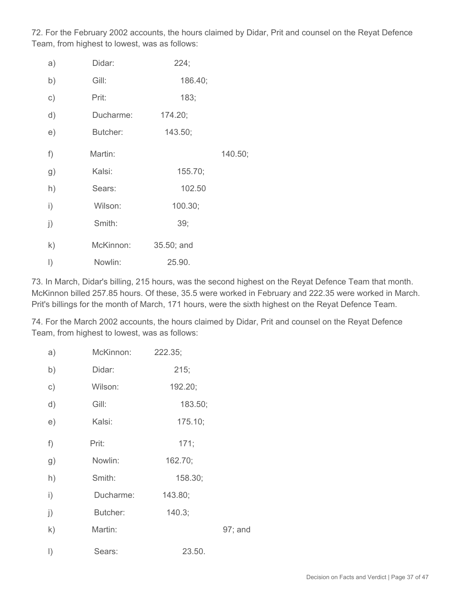72. For the February 2002 accounts, the hours claimed by Didar, Prit and counsel on the Reyat Defence Team, from highest to lowest, was as follows:

| a)           | Didar:    | 224;       |         |
|--------------|-----------|------------|---------|
| b)           | Gill:     | 186.40;    |         |
| $\circ$ )    | Prit:     | 183;       |         |
| d)           | Ducharme: | 174.20;    |         |
| e)           | Butcher:  | 143.50;    |         |
| f)           | Martin:   |            | 140.50; |
| g)           | Kalsi:    | 155.70;    |         |
| h)           | Sears:    | 102.50     |         |
| $\mathsf{i}$ | Wilson:   | 100.30;    |         |
| j)           | Smith:    | 39;        |         |
| $\mathsf{k}$ | McKinnon: | 35.50; and |         |
| $\vert$ )    | Nowlin:   | 25.90.     |         |

73. In March, Didar's billing, 215 hours, was the second highest on the Reyat Defence Team that month. McKinnon billed 257.85 hours. Of these, 35.5 were worked in February and 222.35 were worked in March. Prit's billings for the month of March, 171 hours, were the sixth highest on the Reyat Defence Team.

74. For the March 2002 accounts, the hours claimed by Didar, Prit and counsel on the Reyat Defence Team, from highest to lowest, was as follows:

| a)        | McKinnon: | 222.35; |         |
|-----------|-----------|---------|---------|
| b)        | Didar:    | 215;    |         |
| $\circ$ ) | Wilson:   | 192.20; |         |
| d)        | Gill:     | 183.50; |         |
| e)        | Kalsi:    | 175.10; |         |
| f)        | Prit:     | 171;    |         |
| g)        | Nowlin:   | 162.70; |         |
| h)        | Smith:    | 158.30; |         |
| i)        | Ducharme: | 143.80; |         |
| j)        | Butcher:  | 140.3;  |         |
| k)        | Martin:   |         | 97; and |
| $\vert$ ) | Sears:    | 23.50.  |         |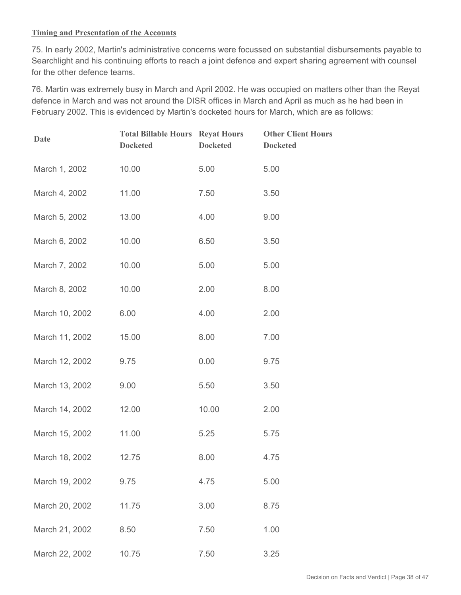#### **Timing and Presentation of the Accounts**

75. In early 2002, Martin's administrative concerns were focussed on substantial disbursements payable to Searchlight and his continuing efforts to reach a joint defence and expert sharing agreement with counsel for the other defence teams.

76. Martin was extremely busy in March and April 2002. He was occupied on matters other than the Reyat defence in March and was not around the DISR offices in March and April as much as he had been in February 2002. This is evidenced by Martin's docketed hours for March, which are as follows:

| Date           | <b>Total Billable Hours Reyat Hours</b><br><b>Docketed</b> | <b>Docketed</b> | <b>Other Client Hours</b><br><b>Docketed</b> |
|----------------|------------------------------------------------------------|-----------------|----------------------------------------------|
| March 1, 2002  | 10.00                                                      | 5.00            | 5.00                                         |
| March 4, 2002  | 11.00                                                      | 7.50            | 3.50                                         |
| March 5, 2002  | 13.00                                                      | 4.00            | 9.00                                         |
| March 6, 2002  | 10.00                                                      | 6.50            | 3.50                                         |
| March 7, 2002  | 10.00                                                      | 5.00            | 5.00                                         |
| March 8, 2002  | 10.00                                                      | 2.00            | 8.00                                         |
| March 10, 2002 | 6.00                                                       | 4.00            | 2.00                                         |
| March 11, 2002 | 15.00                                                      | 8.00            | 7.00                                         |
| March 12, 2002 | 9.75                                                       | 0.00            | 9.75                                         |
| March 13, 2002 | 9.00                                                       | 5.50            | 3.50                                         |
| March 14, 2002 | 12.00                                                      | 10.00           | 2.00                                         |
| March 15, 2002 | 11.00                                                      | 5.25            | 5.75                                         |
| March 18, 2002 | 12.75                                                      | 8.00            | 4.75                                         |
| March 19, 2002 | 9.75                                                       | 4.75            | 5.00                                         |
| March 20, 2002 | 11.75                                                      | 3.00            | 8.75                                         |
| March 21, 2002 | 8.50                                                       | 7.50            | 1.00                                         |
| March 22, 2002 | 10.75                                                      | 7.50            | 3.25                                         |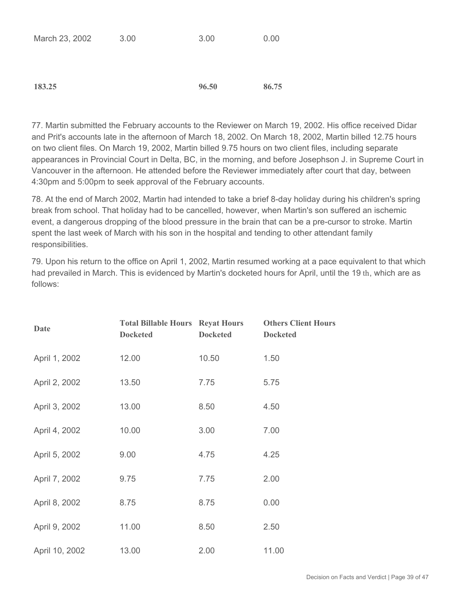|  | March 23, 2002 | 3.00 | 3.00 | 0.00 |
|--|----------------|------|------|------|
|--|----------------|------|------|------|

**183.25 96.50 86.75**

77. Martin submitted the February accounts to the Reviewer on March 19, 2002. His office received Didar and Prit's accounts late in the afternoon of March 18, 2002. On March 18, 2002, Martin billed 12.75 hours on two client files. On March 19, 2002, Martin billed 9.75 hours on two client files, including separate appearances in Provincial Court in Delta, BC, in the morning, and before Josephson J. in Supreme Court in Vancouver in the afternoon. He attended before the Reviewer immediately after court that day, between 4:30pm and 5:00pm to seek approval of the February accounts.

78. At the end of March 2002, Martin had intended to take a brief 8-day holiday during his children's spring break from school. That holiday had to be cancelled, however, when Martin's son suffered an ischemic event, a dangerous dropping of the blood pressure in the brain that can be a pre-cursor to stroke. Martin spent the last week of March with his son in the hospital and tending to other attendant family responsibilities.

79. Upon his return to the office on April 1, 2002, Martin resumed working at a pace equivalent to that which had prevailed in March. This is evidenced by Martin's docketed hours for April, until the 19 th, which are as follows:

| Date           | <b>Total Billable Hours Reyat Hours</b><br><b>Docketed</b> | <b>Docketed</b> | <b>Others Client Hours</b><br><b>Docketed</b> |
|----------------|------------------------------------------------------------|-----------------|-----------------------------------------------|
| April 1, 2002  | 12.00                                                      | 10.50           | 1.50                                          |
| April 2, 2002  | 13.50                                                      | 7.75            | 5.75                                          |
| April 3, 2002  | 13.00                                                      | 8.50            | 4.50                                          |
| April 4, 2002  | 10.00                                                      | 3.00            | 7.00                                          |
| April 5, 2002  | 9.00                                                       | 4.75            | 4.25                                          |
| April 7, 2002  | 9.75                                                       | 7.75            | 2.00                                          |
| April 8, 2002  | 8.75                                                       | 8.75            | 0.00                                          |
| April 9, 2002  | 11.00                                                      | 8.50            | 2.50                                          |
| April 10, 2002 | 13.00                                                      | 2.00            | 11.00                                         |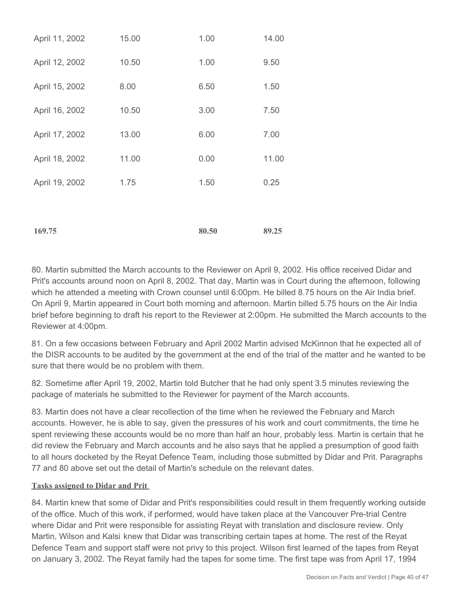| 169.75         |       | 80.50 | 89.25 |
|----------------|-------|-------|-------|
|                |       |       |       |
| April 19, 2002 | 1.75  | 1.50  | 0.25  |
| April 18, 2002 | 11.00 | 0.00  | 11.00 |
| April 17, 2002 | 13.00 | 6.00  | 7.00  |
| April 16, 2002 | 10.50 | 3.00  | 7.50  |
| April 15, 2002 | 8.00  | 6.50  | 1.50  |
| April 12, 2002 | 10.50 | 1.00  | 9.50  |
| April 11, 2002 | 15.00 | 1.00  | 14.00 |

80. Martin submitted the March accounts to the Reviewer on April 9, 2002. His office received Didar and Prit's accounts around noon on April 8, 2002. That day, Martin was in Court during the afternoon, following which he attended a meeting with Crown counsel until 6:00pm. He billed 8.75 hours on the Air India brief. On April 9, Martin appeared in Court both morning and afternoon. Martin billed 5.75 hours on the Air India brief before beginning to draft his report to the Reviewer at 2:00pm. He submitted the March accounts to the Reviewer at 4:00pm.

81. On a few occasions between February and April 2002 Martin advised McKinnon that he expected all of the DISR accounts to be audited by the government at the end of the trial of the matter and he wanted to be sure that there would be no problem with them.

82. Sometime after April 19, 2002, Martin told Butcher that he had only spent 3.5 minutes reviewing the package of materials he submitted to the Reviewer for payment of the March accounts.

83. Martin does not have a clear recollection of the time when he reviewed the February and March accounts. However, he is able to say, given the pressures of his work and court commitments, the time he spent reviewing these accounts would be no more than half an hour, probably less. Martin is certain that he did review the February and March accounts and he also says that he applied a presumption of good faith to all hours docketed by the Reyat Defence Team, including those submitted by Didar and Prit. Paragraphs 77 and 80 above set out the detail of Martin's schedule on the relevant dates.

#### **Tasks assigned to Didar and Prit**

84. Martin knew that some of Didar and Prit's responsibilities could result in them frequently working outside of the office. Much of this work, if performed, would have taken place at the Vancouver Pre-trial Centre where Didar and Prit were responsible for assisting Reyat with translation and disclosure review. Only Martin, Wilson and Kalsi knew that Didar was transcribing certain tapes at home. The rest of the Reyat Defence Team and support staff were not privy to this project. Wilson first learned of the tapes from Reyat on January 3, 2002. The Reyat family had the tapes for some time. The first tape was from April 17, 1994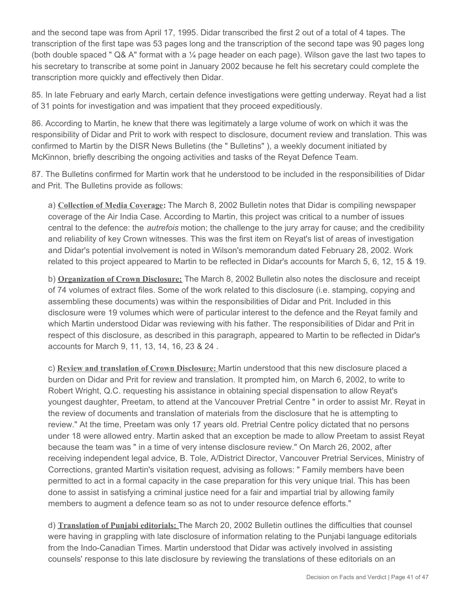and the second tape was from April 17, 1995. Didar transcribed the first 2 out of a total of 4 tapes. The transcription of the first tape was 53 pages long and the transcription of the second tape was 90 pages long (both double spaced "  $Q\& A$ " format with a  $\frac{1}{4}$  page header on each page). Wilson gave the last two tapes to his secretary to transcribe at some point in January 2002 because he felt his secretary could complete the transcription more quickly and effectively then Didar.

85. In late February and early March, certain defence investigations were getting underway. Reyat had a list of 31 points for investigation and was impatient that they proceed expeditiously.

86. According to Martin, he knew that there was legitimately a large volume of work on which it was the responsibility of Didar and Prit to work with respect to disclosure, document review and translation. This was confirmed to Martin by the DISR News Bulletins (the " Bulletins" ), a weekly document initiated by McKinnon, briefly describing the ongoing activities and tasks of the Reyat Defence Team.

87. The Bulletins confirmed for Martin work that he understood to be included in the responsibilities of Didar and Prit. The Bulletins provide as follows:

a) **Collection of Media Coverage:** The March 8, 2002 Bulletin notes that Didar is compiling newspaper coverage of the Air India Case. According to Martin, this project was critical to a number of issues central to the defence: the *autrefois* motion; the challenge to the jury array for cause; and the credibility and reliability of key Crown witnesses. This was the first item on Reyat's list of areas of investigation and Didar's potential involvement is noted in Wilson's memorandum dated February 28, 2002. Work related to this project appeared to Martin to be reflected in Didar's accounts for March 5, 6, 12, 15 & 19.

b) **Organization of Crown Disclosure:** The March 8, 2002 Bulletin also notes the disclosure and receipt of 74 volumes of extract files. Some of the work related to this disclosure (i.e. stamping, copying and assembling these documents) was within the responsibilities of Didar and Prit. Included in this disclosure were 19 volumes which were of particular interest to the defence and the Reyat family and which Martin understood Didar was reviewing with his father. The responsibilities of Didar and Prit in respect of this disclosure, as described in this paragraph, appeared to Martin to be reflected in Didar's accounts for March 9, 11, 13, 14, 16, 23 & 24 .

c) **Review and translation of Crown Disclosure:** Martin understood that this new disclosure placed a burden on Didar and Prit for review and translation. It prompted him, on March 6, 2002, to write to Robert Wright, Q.C. requesting his assistance in obtaining special dispensation to allow Reyat's youngest daughter, Preetam, to attend at the Vancouver Pretrial Centre " in order to assist Mr. Reyat in the review of documents and translation of materials from the disclosure that he is attempting to review." At the time, Preetam was only 17 years old. Pretrial Centre policy dictated that no persons under 18 were allowed entry. Martin asked that an exception be made to allow Preetam to assist Reyat because the team was " in a time of very intense disclosure review." On March 26, 2002, after receiving independent legal advice, B. Tole, A/District Director, Vancouver Pretrial Services, Ministry of Corrections, granted Martin's visitation request, advising as follows: " Family members have been permitted to act in a formal capacity in the case preparation for this very unique trial. This has been done to assist in satisfying a criminal justice need for a fair and impartial trial by allowing family members to augment a defence team so as not to under resource defence efforts."

d) **Translation of Punjabi editorials:** The March 20, 2002 Bulletin outlines the difficulties that counsel were having in grappling with late disclosure of information relating to the Punjabi language editorials from the Indo-Canadian Times. Martin understood that Didar was actively involved in assisting counsels' response to this late disclosure by reviewing the translations of these editorials on an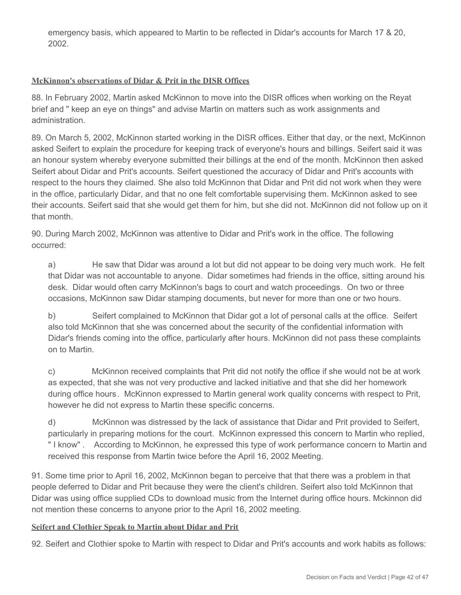emergency basis, which appeared to Martin to be reflected in Didar's accounts for March 17 & 20, 2002.

#### **McKinnon's observations of Didar & Prit in the DISR Offices**

88. In February 2002, Martin asked McKinnon to move into the DISR offices when working on the Reyat brief and " keep an eye on things" and advise Martin on matters such as work assignments and administration.

89. On March 5, 2002, McKinnon started working in the DISR offices. Either that day, or the next, McKinnon asked Seifert to explain the procedure for keeping track of everyone's hours and billings. Seifert said it was an honour system whereby everyone submitted their billings at the end of the month. McKinnon then asked Seifert about Didar and Prit's accounts. Seifert questioned the accuracy of Didar and Prit's accounts with respect to the hours they claimed. She also told McKinnon that Didar and Prit did not work when they were in the office, particularly Didar, and that no one felt comfortable supervising them. McKinnon asked to see their accounts. Seifert said that she would get them for him, but she did not. McKinnon did not follow up on it that month.

90. During March 2002, McKinnon was attentive to Didar and Prit's work in the office. The following occurred:

a) He saw that Didar was around a lot but did not appear to be doing very much work. He felt that Didar was not accountable to anyone. Didar sometimes had friends in the office, sitting around his desk. Didar would often carry McKinnon's bags to court and watch proceedings. On two or three occasions, McKinnon saw Didar stamping documents, but never for more than one or two hours.

b) Seifert complained to McKinnon that Didar got a lot of personal calls at the office. Seifert also told McKinnon that she was concerned about the security of the confidential information with Didar's friends coming into the office, particularly after hours. McKinnon did not pass these complaints on to Martin.

c) McKinnon received complaints that Prit did not notify the office if she would not be at work as expected, that she was not very productive and lacked initiative and that she did her homework during office hours *.* McKinnon expressed to Martin general work quality concerns with respect to Prit, however he did not express to Martin these specific concerns.

d) McKinnon was distressed by the lack of assistance that Didar and Prit provided to Seifert, particularly in preparing motions for the court. McKinnon expressed this concern to Martin who replied, " I know" . According to McKinnon, he expressed this type of work performance concern to Martin and received this response from Martin twice before the April 16, 2002 Meeting.

91. Some time prior to April 16, 2002, McKinnon began to perceive that that there was a problem in that people deferred to Didar and Prit because they were the client's children. Seifert also told McKinnon that Didar was using office supplied CDs to download music from the Internet during office hours. Mckinnon did not mention these concerns to anyone prior to the April 16, 2002 meeting.

#### **Seifert and Clothier Speak to Martin about Didar and Prit**

92. Seifert and Clothier spoke to Martin with respect to Didar and Prit's accounts and work habits as follows: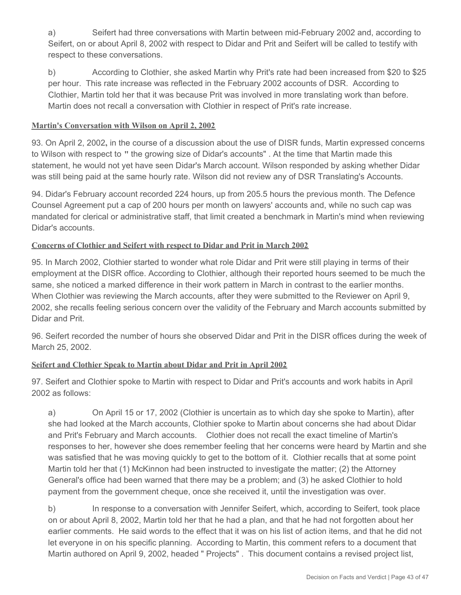a) Seifert had three conversations with Martin between mid-February 2002 and, according to Seifert, on or about April 8, 2002 with respect to Didar and Prit and Seifert will be called to testify with respect to these conversations.

b) According to Clothier, she asked Martin why Prit's rate had been increased from \$20 to \$25 per hour. This rate increase was reflected in the February 2002 accounts of DSR. According to Clothier, Martin told her that it was because Prit was involved in more translating work than before. Martin does not recall a conversation with Clothier in respect of Prit's rate increase.

#### **Martin's Conversation with Wilson on April 2, 2002**

93. On April 2, 2002**,** in the course of a discussion about the use of DISR funds, Martin expressed concerns to Wilson with respect to **"** the growing size of Didar's accounts" . At the time that Martin made this statement, he would not yet have seen Didar's March account. Wilson responded by asking whether Didar was still being paid at the same hourly rate. Wilson did not review any of DSR Translating's Accounts.

94. Didar's February account recorded 224 hours, up from 205.5 hours the previous month. The Defence Counsel Agreement put a cap of 200 hours per month on lawyers' accounts and, while no such cap was mandated for clerical or administrative staff, that limit created a benchmark in Martin's mind when reviewing Didar's accounts.

#### **Concerns of Clothier and Seifert with respect to Didar and Prit in March 2002**

95. In March 2002, Clothier started to wonder what role Didar and Prit were still playing in terms of their employment at the DISR office. According to Clothier, although their reported hours seemed to be much the same, she noticed a marked difference in their work pattern in March in contrast to the earlier months. When Clothier was reviewing the March accounts, after they were submitted to the Reviewer on April 9, 2002, she recalls feeling serious concern over the validity of the February and March accounts submitted by Didar and Prit.

96. Seifert recorded the number of hours she observed Didar and Prit in the DISR offices during the week of March 25, 2002.

#### **Seifert and Clothier Speak to Martin about Didar and Prit in April 2002**

97. Seifert and Clothier spoke to Martin with respect to Didar and Prit's accounts and work habits in April 2002 as follows:

a) On April 15 or 17, 2002 (Clothier is uncertain as to which day she spoke to Martin), after she had looked at the March accounts, Clothier spoke to Martin about concerns she had about Didar and Prit's February and March accounts. Clothier does not recall the exact timeline of Martin's responses to her, however she does remember feeling that her concerns were heard by Martin and she was satisfied that he was moving quickly to get to the bottom of it. Clothier recalls that at some point Martin told her that (1) McKinnon had been instructed to investigate the matter; (2) the Attorney General's office had been warned that there may be a problem; and (3) he asked Clothier to hold payment from the government cheque, once she received it, until the investigation was over.

b) In response to a conversation with Jennifer Seifert, which, according to Seifert, took place on or about April 8, 2002, Martin told her that he had a plan, and that he had not forgotten about her earlier comments. He said words to the effect that it was on his list of action items, and that he did not let everyone in on his specific planning. According to Martin, this comment refers to a document that Martin authored on April 9, 2002, headed " Projects" . This document contains a revised project list,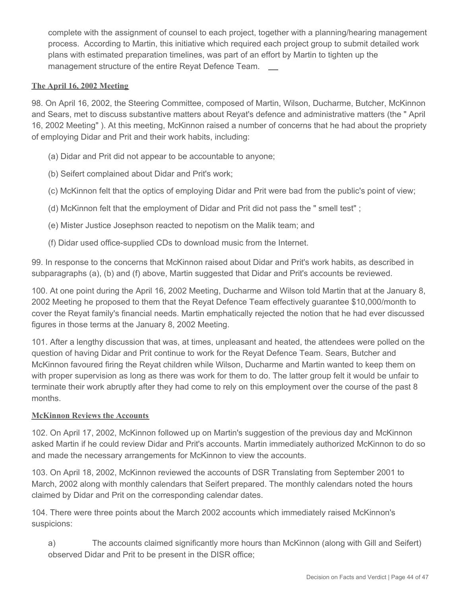complete with the assignment of counsel to each project, together with a planning/hearing management process. According to Martin, this initiative which required each project group to submit detailed work plans with estimated preparation timelines, was part of an effort by Martin to tighten up the management structure of the entire Reyat Defence Team.

#### **The April 16, 2002 Meeting**

98. On April 16, 2002, the Steering Committee, composed of Martin, Wilson, Ducharme, Butcher, McKinnon and Sears, met to discuss substantive matters about Reyat's defence and administrative matters (the " April 16, 2002 Meeting" ). At this meeting, McKinnon raised a number of concerns that he had about the propriety of employing Didar and Prit and their work habits, including:

- (a) Didar and Prit did not appear to be accountable to anyone;
- (b) Seifert complained about Didar and Prit's work;
- (c) McKinnon felt that the optics of employing Didar and Prit were bad from the public's point of view;
- (d) McKinnon felt that the employment of Didar and Prit did not pass the " smell test" ;
- (e) Mister Justice Josephson reacted to nepotism on the Malik team; and
- (f) Didar used office-supplied CDs to download music from the Internet.

99. In response to the concerns that McKinnon raised about Didar and Prit's work habits, as described in subparagraphs (a), (b) and (f) above, Martin suggested that Didar and Prit's accounts be reviewed.

100. At one point during the April 16, 2002 Meeting, Ducharme and Wilson told Martin that at the January 8, 2002 Meeting he proposed to them that the Reyat Defence Team effectively guarantee \$10,000/month to cover the Reyat family's financial needs. Martin emphatically rejected the notion that he had ever discussed figures in those terms at the January 8, 2002 Meeting.

101. After a lengthy discussion that was, at times, unpleasant and heated, the attendees were polled on the question of having Didar and Prit continue to work for the Reyat Defence Team. Sears, Butcher and McKinnon favoured firing the Reyat children while Wilson, Ducharme and Martin wanted to keep them on with proper supervision as long as there was work for them to do. The latter group felt it would be unfair to terminate their work abruptly after they had come to rely on this employment over the course of the past 8 months.

#### **McKinnon Reviews the Accounts**

102. On April 17, 2002, McKinnon followed up on Martin's suggestion of the previous day and McKinnon asked Martin if he could review Didar and Prit's accounts. Martin immediately authorized McKinnon to do so and made the necessary arrangements for McKinnon to view the accounts.

103. On April 18, 2002, McKinnon reviewed the accounts of DSR Translating from September 2001 to March, 2002 along with monthly calendars that Seifert prepared. The monthly calendars noted the hours claimed by Didar and Prit on the corresponding calendar dates.

104. There were three points about the March 2002 accounts which immediately raised McKinnon's suspicions:

a) The accounts claimed significantly more hours than McKinnon (along with Gill and Seifert) observed Didar and Prit to be present in the DISR office;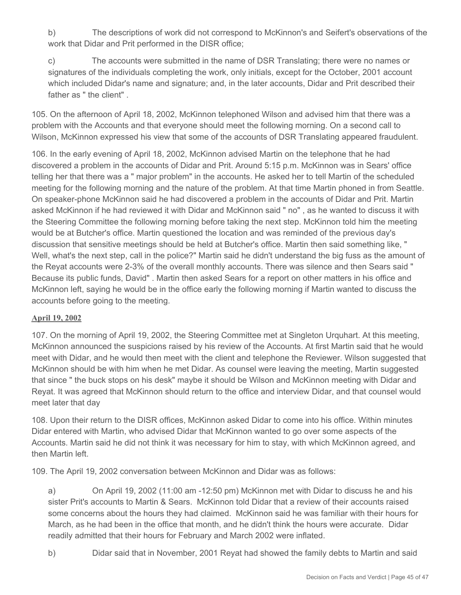b) The descriptions of work did not correspond to McKinnon's and Seifert's observations of the work that Didar and Prit performed in the DISR office;

c) The accounts were submitted in the name of DSR Translating; there were no names or signatures of the individuals completing the work, only initials, except for the October, 2001 account which included Didar's name and signature; and, in the later accounts, Didar and Prit described their father as " the client"

105. On the afternoon of April 18, 2002, McKinnon telephoned Wilson and advised him that there was a problem with the Accounts and that everyone should meet the following morning. On a second call to Wilson, McKinnon expressed his view that some of the accounts of DSR Translating appeared fraudulent.

106. In the early evening of April 18, 2002, McKinnon advised Martin on the telephone that he had discovered a problem in the accounts of Didar and Prit. Around 5:15 p.m. McKinnon was in Sears' office telling her that there was a " major problem" in the accounts. He asked her to tell Martin of the scheduled meeting for the following morning and the nature of the problem. At that time Martin phoned in from Seattle. On speaker-phone McKinnon said he had discovered a problem in the accounts of Didar and Prit. Martin asked McKinnon if he had reviewed it with Didar and McKinnon said " no" , as he wanted to discuss it with the Steering Committee the following morning before taking the next step. McKinnon told him the meeting would be at Butcher's office. Martin questioned the location and was reminded of the previous day's discussion that sensitive meetings should be held at Butcher's office. Martin then said something like, " Well, what's the next step, call in the police?" Martin said he didn't understand the big fuss as the amount of the Reyat accounts were 2-3% of the overall monthly accounts. There was silence and then Sears said " Because its public funds, David" . Martin then asked Sears for a report on other matters in his office and McKinnon left, saying he would be in the office early the following morning if Martin wanted to discuss the accounts before going to the meeting.

## **April 19, 2002**

107. On the morning of April 19, 2002, the Steering Committee met at Singleton Urquhart. At this meeting, McKinnon announced the suspicions raised by his review of the Accounts. At first Martin said that he would meet with Didar, and he would then meet with the client and telephone the Reviewer. Wilson suggested that McKinnon should be with him when he met Didar. As counsel were leaving the meeting, Martin suggested that since " the buck stops on his desk" maybe it should be Wilson and McKinnon meeting with Didar and Reyat. It was agreed that McKinnon should return to the office and interview Didar, and that counsel would meet later that day

108. Upon their return to the DISR offices, McKinnon asked Didar to come into his office. Within minutes Didar entered with Martin, who advised Didar that McKinnon wanted to go over some aspects of the Accounts. Martin said he did not think it was necessary for him to stay, with which McKinnon agreed, and then Martin left.

109. The April 19, 2002 conversation between McKinnon and Didar was as follows:

a) On April 19, 2002 (11:00 am -12:50 pm) McKinnon met with Didar to discuss he and his sister Prit's accounts to Martin & Sears. McKinnon told Didar that a review of their accounts raised some concerns about the hours they had claimed. McKinnon said he was familiar with their hours for March, as he had been in the office that month, and he didn't think the hours were accurate. Didar readily admitted that their hours for February and March 2002 were inflated.

b) Didar said that in November, 2001 Reyat had showed the family debts to Martin and said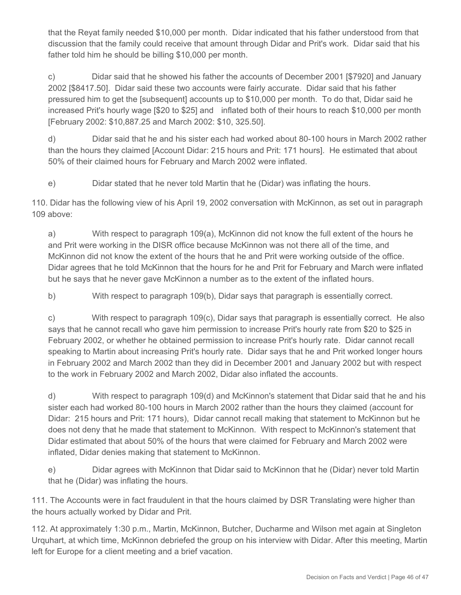that the Reyat family needed \$10,000 per month. Didar indicated that his father understood from that discussion that the family could receive that amount through Didar and Prit's work. Didar said that his father told him he should be billing \$10,000 per month.

c) Didar said that he showed his father the accounts of December 2001 [\$7920] and January 2002 [\$8417.50]. Didar said these two accounts were fairly accurate. Didar said that his father pressured him to get the [subsequent] accounts up to \$10,000 per month. To do that, Didar said he increased Prit's hourly wage [\$20 to \$25] and inflated both of their hours to reach \$10,000 per month [February 2002: \$10,887.25 and March 2002: \$10, 325.50].

d) Didar said that he and his sister each had worked about 80-100 hours in March 2002 rather than the hours they claimed [Account Didar: 215 hours and Prit: 171 hours]. He estimated that about 50% of their claimed hours for February and March 2002 were inflated.

e) Didar stated that he never told Martin that he (Didar) was inflating the hours.

110. Didar has the following view of his April 19, 2002 conversation with McKinnon, as set out in paragraph 109 above:

a) With respect to paragraph 109(a), McKinnon did not know the full extent of the hours he and Prit were working in the DISR office because McKinnon was not there all of the time, and McKinnon did not know the extent of the hours that he and Prit were working outside of the office. Didar agrees that he told McKinnon that the hours for he and Prit for February and March were inflated but he says that he never gave McKinnon a number as to the extent of the inflated hours.

b) With respect to paragraph 109(b), Didar says that paragraph is essentially correct.

c) With respect to paragraph 109(c), Didar says that paragraph is essentially correct. He also says that he cannot recall who gave him permission to increase Prit's hourly rate from \$20 to \$25 in February 2002, or whether he obtained permission to increase Prit's hourly rate. Didar cannot recall speaking to Martin about increasing Prit's hourly rate. Didar says that he and Prit worked longer hours in February 2002 and March 2002 than they did in December 2001 and January 2002 but with respect to the work in February 2002 and March 2002, Didar also inflated the accounts.

d) With respect to paragraph 109(d) and McKinnon's statement that Didar said that he and his sister each had worked 80-100 hours in March 2002 rather than the hours they claimed (account for Didar: 215 hours and Prit: 171 hours), Didar cannot recall making that statement to McKinnon but he does not deny that he made that statement to McKinnon. With respect to McKinnon's statement that Didar estimated that about 50% of the hours that were claimed for February and March 2002 were inflated, Didar denies making that statement to McKinnon.

e) Didar agrees with McKinnon that Didar said to McKinnon that he (Didar) never told Martin that he (Didar) was inflating the hours.

111. The Accounts were in fact fraudulent in that the hours claimed by DSR Translating were higher than the hours actually worked by Didar and Prit.

112. At approximately 1:30 p.m., Martin, McKinnon, Butcher, Ducharme and Wilson met again at Singleton Urquhart, at which time, McKinnon debriefed the group on his interview with Didar. After this meeting, Martin left for Europe for a client meeting and a brief vacation.